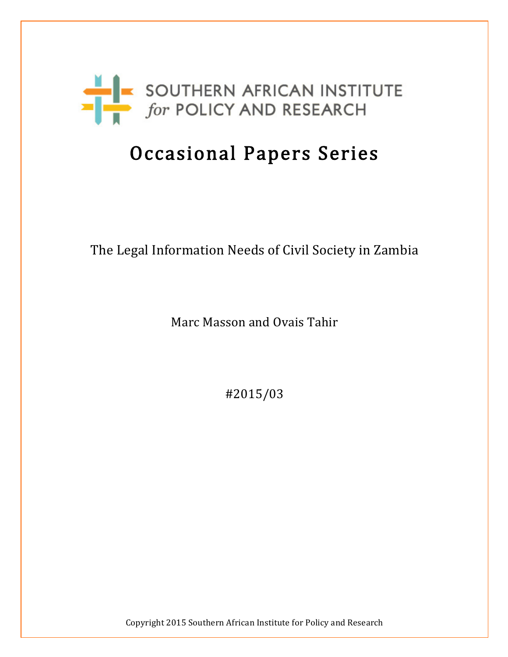

# Occasional Papers Series

# The Legal Information Needs of Civil Society in Zambia

Marc Masson and Ovais Tahir

#2015/03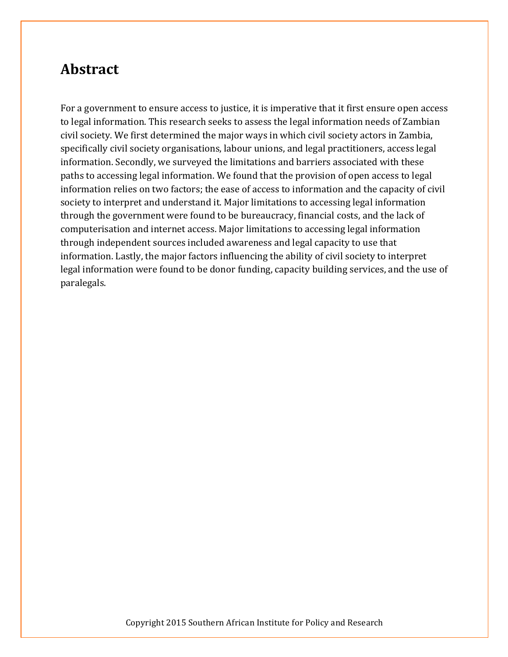### **Abstract**

For a government to ensure access to justice, it is imperative that it first ensure open access to legal information. This research seeks to assess the legal information needs of Zambian civil society. We first determined the major ways in which civil society actors in Zambia, specifically civil society organisations, labour unions, and legal practitioners, access legal information. Secondly, we surveyed the limitations and barriers associated with these paths to accessing legal information. We found that the provision of open access to legal information relies on two factors; the ease of access to information and the capacity of civil society to interpret and understand it. Major limitations to accessing legal information through the government were found to be bureaucracy, financial costs, and the lack of computerisation and internet access. Major limitations to accessing legal information through independent sources included awareness and legal capacity to use that information. Lastly, the major factors influencing the ability of civil society to interpret legal information were found to be donor funding, capacity building services, and the use of paralegals.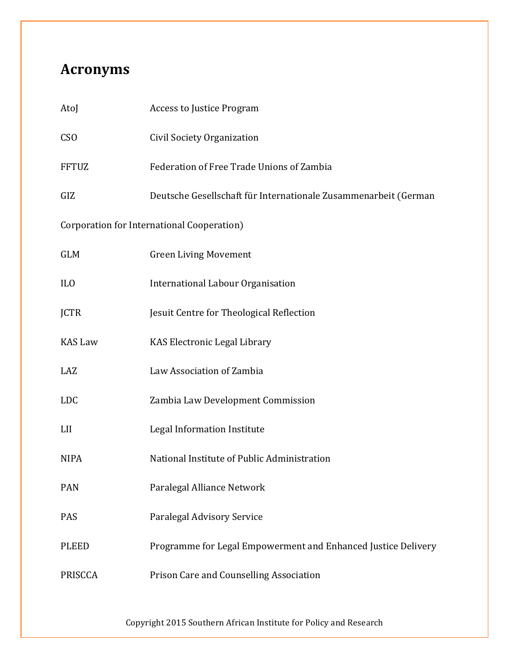# **Acronyms**

| AtoJ                                       | <b>Access to Justice Program</b>                                |  |
|--------------------------------------------|-----------------------------------------------------------------|--|
| <b>CSO</b>                                 | Civil Society Organization                                      |  |
| <b>FFTUZ</b>                               | Federation of Free Trade Unions of Zambia                       |  |
| GIZ                                        | Deutsche Gesellschaft für Internationale Zusammenarbeit (German |  |
| Corporation for International Cooperation) |                                                                 |  |
| <b>GLM</b>                                 | <b>Green Living Movement</b>                                    |  |
| IL <sub>0</sub>                            | International Labour Organisation                               |  |
| <b>JCTR</b>                                | Jesuit Centre for Theological Reflection                        |  |
| <b>KAS Law</b>                             | KAS Electronic Legal Library                                    |  |
| LAZ                                        | Law Association of Zambia                                       |  |
| <b>LDC</b>                                 | Zambia Law Development Commission                               |  |
| LII                                        | Legal Information Institute                                     |  |
| <b>NIPA</b>                                | National Institute of Public Administration                     |  |
| <b>PAN</b>                                 | Paralegal Alliance Network                                      |  |
| PAS                                        | Paralegal Advisory Service                                      |  |
| <b>PLEED</b>                               | Programme for Legal Empowerment and Enhanced Justice Delivery   |  |
| <b>PRISCCA</b>                             | Prison Care and Counselling Association                         |  |
|                                            |                                                                 |  |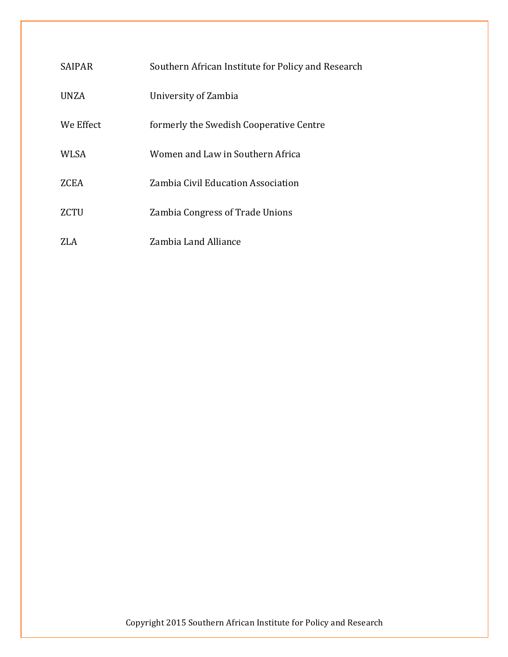| <b>SAIPAR</b> | Southern African Institute for Policy and Research |
|---------------|----------------------------------------------------|
| UNZA          | University of Zambia                               |
| We Effect     | formerly the Swedish Cooperative Centre            |
| WLSA          | Women and Law in Southern Africa                   |
| ZCEA          | Zambia Civil Education Association                 |
| ZCTU          | Zambia Congress of Trade Unions                    |
|               | Zambia Land Alliance                               |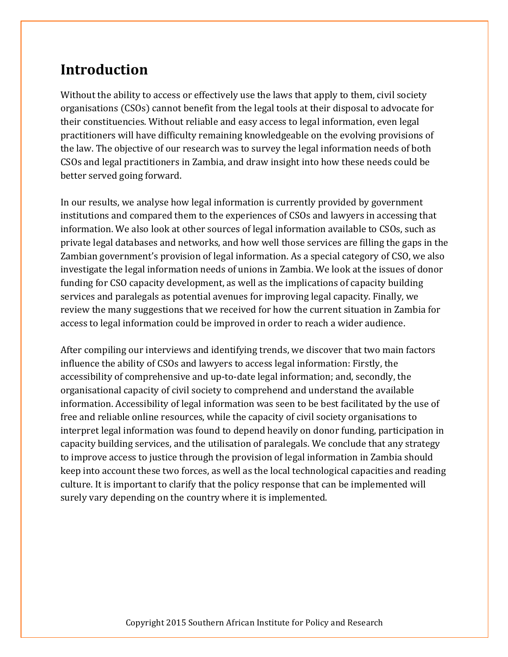# **Introduction**

Without the ability to access or effectively use the laws that apply to them, civil society organisations (CSOs) cannot benefit from the legal tools at their disposal to advocate for their constituencies. Without reliable and easy access to legal information, even legal practitioners will have difficulty remaining knowledgeable on the evolving provisions of the law. The objective of our research was to survey the legal information needs of both CSOs and legal practitioners in Zambia, and draw insight into how these needs could be better served going forward.

In our results, we analyse how legal information is currently provided by government institutions and compared them to the experiences of CSOs and lawyers in accessing that information. We also look at other sources of legal information available to CSOs, such as private legal databases and networks, and how well those services are filling the gaps in the Zambian government's provision of legal information. As a special category of CSO, we also investigate the legal information needs of unions in Zambia. We look at the issues of donor funding for CSO capacity development, as well as the implications of capacity building services and paralegals as potential avenues for improving legal capacity. Finally, we review the many suggestions that we received for how the current situation in Zambia for access to legal information could be improved in order to reach a wider audience.

After compiling our interviews and identifying trends, we discover that two main factors influence the ability of CSOs and lawyers to access legal information: Firstly, the accessibility of comprehensive and up-to-date legal information; and, secondly, the organisational capacity of civil society to comprehend and understand the available information. Accessibility of legal information was seen to be best facilitated by the use of free and reliable online resources, while the capacity of civil society organisations to interpret legal information was found to depend heavily on donor funding, participation in capacity building services, and the utilisation of paralegals. We conclude that any strategy to improve access to justice through the provision of legal information in Zambia should keep into account these two forces, as well as the local technological capacities and reading culture. It is important to clarify that the policy response that can be implemented will surely vary depending on the country where it is implemented.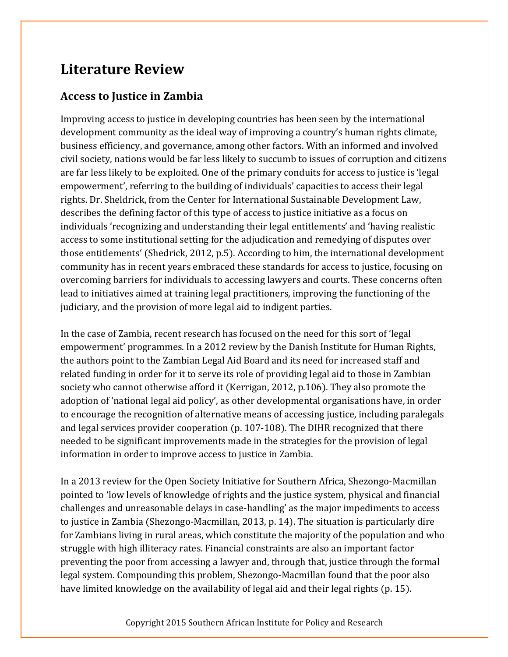# **Literature Review**

### **Access to Justice in Zambia**

Improving access to justice in developing countries has been seen by the international development community as the ideal way of improving a country's human rights climate, business efficiency, and governance, among other factors. With an informed and involved civil society, nations would be far less likely to succumb to issues of corruption and citizens are far less likely to be exploited. One of the primary conduits for access to justice is 'legal empowerment', referring to the building of individuals' capacities to access their legal rights. Dr. Sheldrick, from the Center for International Sustainable Development Law, describes the defining factor of this type of access to justice initiative as a focus on individuals 'recognizing and understanding their legal entitlements' and 'having realistic access to some institutional setting for the adjudication and remedying of disputes over those entitlements' (Shedrick, 2012, p.5). According to him, the international development community has in recent years embraced these standards for access to justice, focusing on overcoming barriers for individuals to accessing lawyers and courts. These concerns often lead to initiatives aimed at training legal practitioners, improving the functioning of the judiciary, and the provision of more legal aid to indigent parties.

In the case of Zambia, recent research has focused on the need for this sort of 'legal empowerment' programmes. In a 2012 review by the Danish Institute for Human Rights, the authors point to the Zambian Legal Aid Board and its need for increased staff and related funding in order for it to serve its role of providing legal aid to those in Zambian society who cannot otherwise afford it (Kerrigan, 2012, p.106). They also promote the adoption of 'national legal aid policy', as other developmental organisations have, in order to encourage the recognition of alternative means of accessing justice, including paralegals and legal services provider cooperation (p. 107-108). The DIHR recognized that there needed to be significant improvements made in the strategies for the provision of legal information in order to improve access to justice in Zambia.

In a 2013 review for the Open Society Initiative for Southern Africa, Shezongo-Macmillan pointed to 'low levels of knowledge of rights and the justice system, physical and financial challenges and unreasonable delays in case-handling' as the major impediments to access to justice in Zambia (Shezongo-Macmillan, 2013, p. 14). The situation is particularly dire for Zambians living in rural areas, which constitute the majority of the population and who struggle with high illiteracy rates. Financial constraints are also an important factor preventing the poor from accessing a lawyer and, through that, justice through the formal legal system. Compounding this problem, Shezongo-Macmillan found that the poor also have limited knowledge on the availability of legal aid and their legal rights (p. 15).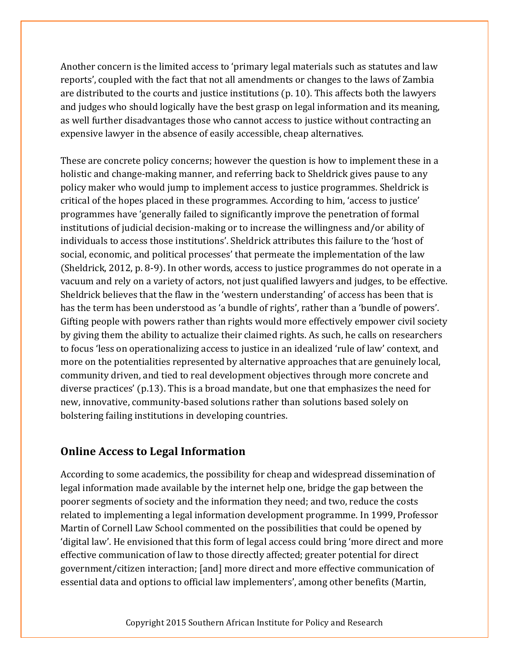Another concern is the limited access to 'primary legal materials such as statutes and law reports', coupled with the fact that not all amendments or changes to the laws of Zambia are distributed to the courts and justice institutions (p. 10). This affects both the lawyers and judges who should logically have the best grasp on legal information and its meaning, as well further disadvantages those who cannot access to justice without contracting an expensive lawyer in the absence of easily accessible, cheap alternatives.

These are concrete policy concerns; however the question is how to implement these in a holistic and change-making manner, and referring back to Sheldrick gives pause to any policy maker who would jump to implement access to justice programmes. Sheldrick is critical of the hopes placed in these programmes. According to him, 'access to justice' programmes have 'generally failed to significantly improve the penetration of formal institutions of judicial decision-making or to increase the willingness and/or ability of individuals to access those institutions'. Sheldrick attributes this failure to the 'host of social, economic, and political processes' that permeate the implementation of the law (Sheldrick, 2012, p. 8-9). In other words, access to justice programmes do not operate in a vacuum and rely on a variety of actors, not just qualified lawyers and judges, to be effective. Sheldrick believes that the flaw in the 'western understanding' of access has been that is has the term has been understood as 'a bundle of rights', rather than a 'bundle of powers'. Gifting people with powers rather than rights would more effectively empower civil society by giving them the ability to actualize their claimed rights. As such, he calls on researchers to focus 'less on operationalizing access to justice in an idealized 'rule of law' context, and more on the potentialities represented by alternative approaches that are genuinely local, community driven, and tied to real development objectives through more concrete and diverse practices' (p.13). This is a broad mandate, but one that emphasizes the need for new, innovative, community-based solutions rather than solutions based solely on bolstering failing institutions in developing countries.

#### **Online Access to Legal Information**

According to some academics, the possibility for cheap and widespread dissemination of legal information made available by the internet help one, bridge the gap between the poorer segments of society and the information they need; and two, reduce the costs related to implementing a legal information development programme. In 1999, Professor Martin of Cornell Law School commented on the possibilities that could be opened by 'digital law'. He envisioned that this form of legal access could bring 'more direct and more effective communication of law to those directly affected; greater potential for direct government/citizen interaction; [and] more direct and more effective communication of essential data and options to official law implementers', among other benefits (Martin,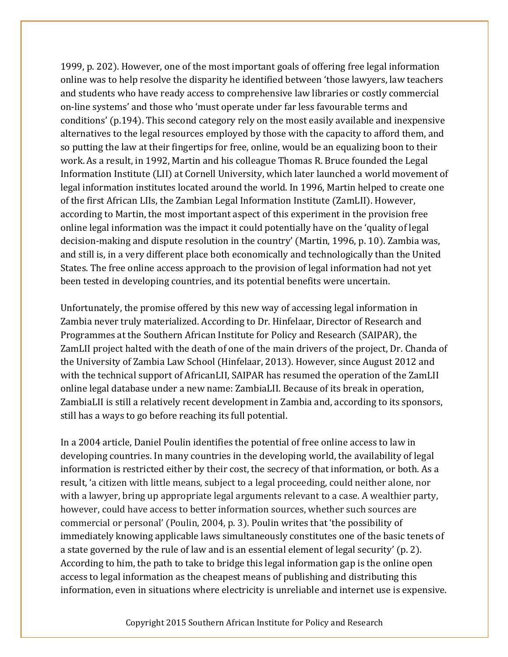1999, p. 202). However, one of the most important goals of offering free legal information online was to help resolve the disparity he identified between 'those lawyers, law teachers and students who have ready access to comprehensive law libraries or costly commercial on-line systems' and those who 'must operate under far less favourable terms and conditions' (p.194). This second category rely on the most easily available and inexpensive alternatives to the legal resources employed by those with the capacity to afford them, and so putting the law at their fingertips for free, online, would be an equalizing boon to their work. As a result, in 1992, Martin and his colleague Thomas R. Bruce founded the Legal Information Institute (LII) at Cornell University, which later launched a world movement of legal information institutes located around the world. In 1996, Martin helped to create one of the first African LIIs, the Zambian Legal Information Institute (ZamLII). However, according to Martin, the most important aspect of this experiment in the provision free online legal information was the impact it could potentially have on the 'quality of legal decision-making and dispute resolution in the country' (Martin, 1996, p. 10). Zambia was, and still is, in a very different place both economically and technologically than the United States. The free online access approach to the provision of legal information had not yet been tested in developing countries, and its potential benefits were uncertain.

Unfortunately, the promise offered by this new way of accessing legal information in Zambia never truly materialized. According to Dr. Hinfelaar, Director of Research and Programmes at the Southern African Institute for Policy and Research (SAIPAR), the ZamLII project halted with the death of one of the main drivers of the project, Dr. Chanda of the University of Zambia Law School (Hinfelaar, 2013). However, since August 2012 and with the technical support of AfricanLII, SAIPAR has resumed the operation of the ZamLII online legal database under a new name: ZambiaLII. Because of its break in operation, ZambiaLII is still a relatively recent development in Zambia and, according to its sponsors, still has a ways to go before reaching its full potential.

In a 2004 article, Daniel Poulin identifies the potential of free online access to law in developing countries. In many countries in the developing world, the availability of legal information is restricted either by their cost, the secrecy of that information, or both. As a result, 'a citizen with little means, subject to a legal proceeding, could neither alone, nor with a lawyer, bring up appropriate legal arguments relevant to a case. A wealthier party, however, could have access to better information sources, whether such sources are commercial or personal' (Poulin, 2004, p. 3). Poulin writes that 'the possibility of immediately knowing applicable laws simultaneously constitutes one of the basic tenets of a state governed by the rule of law and is an essential element of legal security' (p. 2). According to him, the path to take to bridge this legal information gap is the online open access to legal information as the cheapest means of publishing and distributing this information, even in situations where electricity is unreliable and internet use is expensive.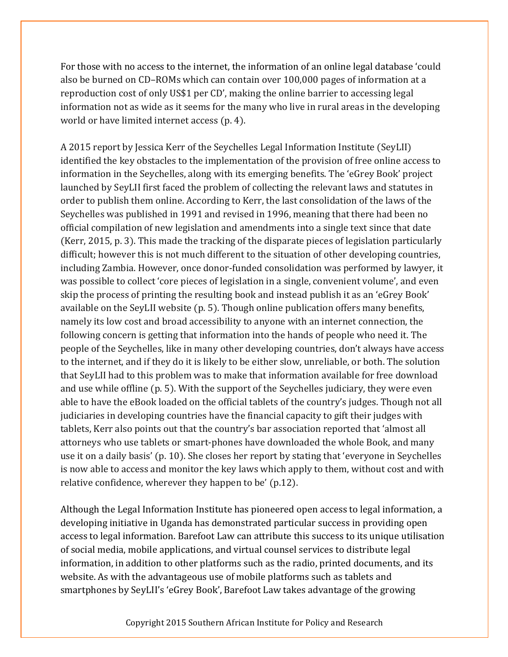For those with no access to the internet, the information of an online legal database 'could also be burned on CD–ROMs which can contain over 100,000 pages of information at a reproduction cost of only US\$1 per CD', making the online barrier to accessing legal information not as wide as it seems for the many who live in rural areas in the developing world or have limited internet access (p. 4).

A 2015 report by Jessica Kerr of the Seychelles Legal Information Institute (SeyLII) identified the key obstacles to the implementation of the provision of free online access to information in the Seychelles, along with its emerging benefits. The 'eGrey Book' project launched by SeyLII first faced the problem of collecting the relevant laws and statutes in order to publish them online. According to Kerr, the last consolidation of the laws of the Seychelles was published in 1991 and revised in 1996, meaning that there had been no official compilation of new legislation and amendments into a single text since that date (Kerr, 2015, p. 3). This made the tracking of the disparate pieces of legislation particularly difficult; however this is not much different to the situation of other developing countries, including Zambia. However, once donor-funded consolidation was performed by lawyer, it was possible to collect 'core pieces of legislation in a single, convenient volume', and even skip the process of printing the resulting book and instead publish it as an 'eGrey Book' available on the SeyLII website (p. 5). Though online publication offers many benefits, namely its low cost and broad accessibility to anyone with an internet connection, the following concern is getting that information into the hands of people who need it. The people of the Seychelles, like in many other developing countries, don't always have access to the internet, and if they do it is likely to be either slow, unreliable, or both. The solution that SeyLII had to this problem was to make that information available for free download and use while offline (p. 5). With the support of the Seychelles judiciary, they were even able to have the eBook loaded on the official tablets of the country's judges. Though not all judiciaries in developing countries have the financial capacity to gift their judges with tablets, Kerr also points out that the country's bar association reported that 'almost all attorneys who use tablets or smart-phones have downloaded the whole Book, and many use it on a daily basis' (p. 10). She closes her report by stating that 'everyone in Seychelles is now able to access and monitor the key laws which apply to them, without cost and with relative confidence, wherever they happen to be' (p.12).

Although the Legal Information Institute has pioneered open access to legal information, a developing initiative in Uganda has demonstrated particular success in providing open access to legal information. Barefoot Law can attribute this success to its unique utilisation of social media, mobile applications, and virtual counsel services to distribute legal information, in addition to other platforms such as the radio, printed documents, and its website. As with the advantageous use of mobile platforms such as tablets and smartphones by SeyLII's 'eGrey Book', Barefoot Law takes advantage of the growing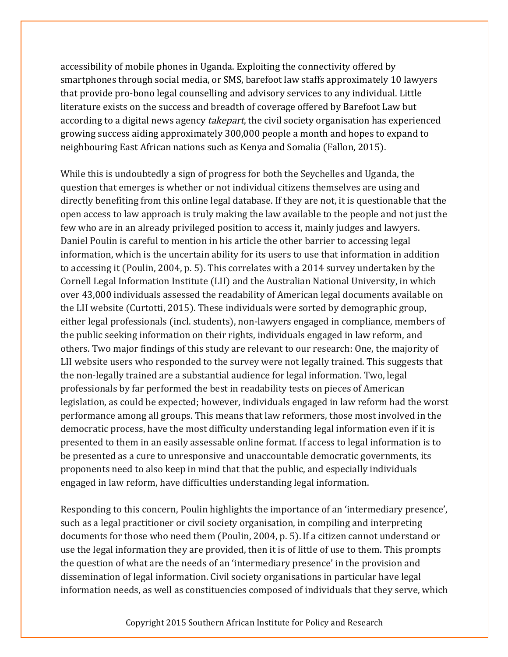accessibility of mobile phones in Uganda. Exploiting the connectivity offered by smartphones through social media, or SMS, barefoot law staffs approximately 10 lawyers that provide pro-bono legal counselling and advisory services to any individual. Little literature exists on the success and breadth of coverage offered by Barefoot Law but according to a digital news agency *takepart*, the civil society organisation has experienced growing success aiding approximately 300,000 people a month and hopes to expand to neighbouring East African nations such as Kenya and Somalia (Fallon, 2015).

While this is undoubtedly a sign of progress for both the Seychelles and Uganda, the question that emerges is whether or not individual citizens themselves are using and directly benefiting from this online legal database. If they are not, it is questionable that the open access to law approach is truly making the law available to the people and not just the few who are in an already privileged position to access it, mainly judges and lawyers. Daniel Poulin is careful to mention in his article the other barrier to accessing legal information, which is the uncertain ability for its users to use that information in addition to accessing it (Poulin, 2004, p. 5). This correlates with a 2014 survey undertaken by the Cornell Legal Information Institute (LII) and the Australian National University, in which over 43,000 individuals assessed the readability of American legal documents available on the LII website (Curtotti, 2015). These individuals were sorted by demographic group, either legal professionals (incl. students), non-lawyers engaged in compliance, members of the public seeking information on their rights, individuals engaged in law reform, and others. Two major findings of this study are relevant to our research: One, the majority of LII website users who responded to the survey were not legally trained. This suggests that the non-legally trained are a substantial audience for legal information. Two, legal professionals by far performed the best in readability tests on pieces of American legislation, as could be expected; however, individuals engaged in law reform had the worst performance among all groups. This means that law reformers, those most involved in the democratic process, have the most difficulty understanding legal information even if it is presented to them in an easily assessable online format. If access to legal information is to be presented as a cure to unresponsive and unaccountable democratic governments, its proponents need to also keep in mind that that the public, and especially individuals engaged in law reform, have difficulties understanding legal information.

Responding to this concern, Poulin highlights the importance of an 'intermediary presence', such as a legal practitioner or civil society organisation, in compiling and interpreting documents for those who need them (Poulin, 2004, p. 5).If a citizen cannot understand or use the legal information they are provided, then it is of little of use to them. This prompts the question of what are the needs of an 'intermediary presence' in the provision and dissemination of legal information. Civil society organisations in particular have legal information needs, as well as constituencies composed of individuals that they serve, which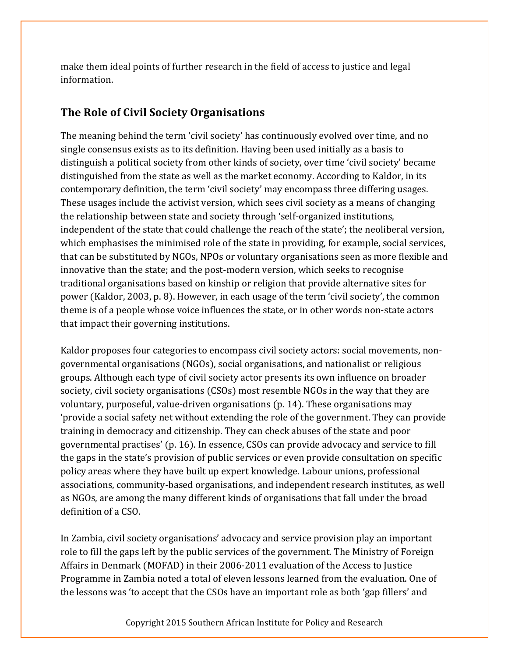make them ideal points of further research in the field of access to justice and legal information.

### **The Role of Civil Society Organisations**

The meaning behind the term 'civil society' has continuously evolved over time, and no single consensus exists as to its definition. Having been used initially as a basis to distinguish a political society from other kinds of society, over time 'civil society' became distinguished from the state as well as the market economy. According to Kaldor, in its contemporary definition, the term 'civil society' may encompass three differing usages. These usages include the activist version, which sees civil society as a means of changing the relationship between state and society through 'self-organized institutions, independent of the state that could challenge the reach of the state'; the neoliberal version, which emphasises the minimised role of the state in providing, for example, social services, that can be substituted by NGOs, NPOs or voluntary organisations seen as more flexible and innovative than the state; and the post-modern version, which seeks to recognise traditional organisations based on kinship or religion that provide alternative sites for power (Kaldor, 2003, p. 8). However, in each usage of the term 'civil society', the common theme is of a people whose voice influences the state, or in other words non-state actors that impact their governing institutions.

Kaldor proposes four categories to encompass civil society actors: social movements, nongovernmental organisations (NGOs), social organisations, and nationalist or religious groups. Although each type of civil society actor presents its own influence on broader society, civil society organisations (CSOs) most resemble NGOs in the way that they are voluntary, purposeful, value-driven organisations (p. 14). These organisations may 'provide a social safety net without extending the role of the government. They can provide training in democracy and citizenship. They can check abuses of the state and poor governmental practises' (p. 16). In essence, CSOs can provide advocacy and service to fill the gaps in the state's provision of public services or even provide consultation on specific policy areas where they have built up expert knowledge. Labour unions, professional associations, community-based organisations, and independent research institutes, as well as NGOs, are among the many different kinds of organisations that fall under the broad definition of a CSO.

In Zambia, civil society organisations' advocacy and service provision play an important role to fill the gaps left by the public services of the government. The Ministry of Foreign Affairs in Denmark (MOFAD) in their 2006-2011 evaluation of the Access to Justice Programme in Zambia noted a total of eleven lessons learned from the evaluation. One of the lessons was 'to accept that the CSOs have an important role as both 'gap fillers' and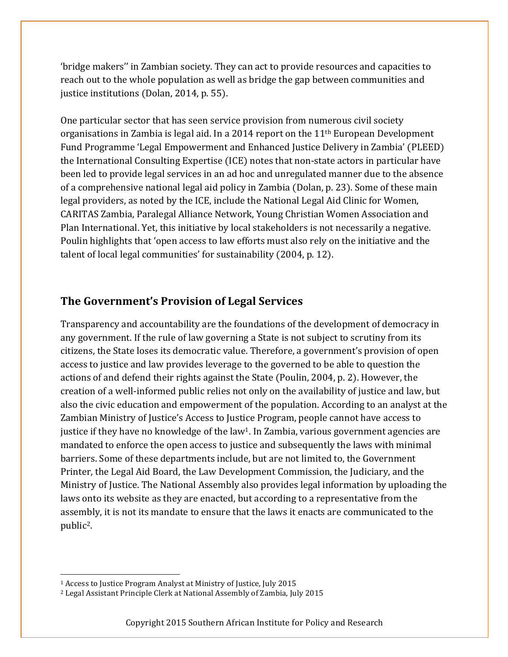'bridge makers'' in Zambian society. They can act to provide resources and capacities to reach out to the whole population as well as bridge the gap between communities and justice institutions (Dolan, 2014, p. 55).

One particular sector that has seen service provision from numerous civil society organisations in Zambia is legal aid. In a 2014 report on the  $11<sup>th</sup>$  European Development Fund Programme 'Legal Empowerment and Enhanced Justice Delivery in Zambia' (PLEED) the International Consulting Expertise (ICE) notes that non-state actors in particular have been led to provide legal services in an ad hoc and unregulated manner due to the absence of a comprehensive national legal aid policy in Zambia (Dolan, p. 23). Some of these main legal providers, as noted by the ICE, include the National Legal Aid Clinic for Women, CARITAS Zambia, Paralegal Alliance Network, Young Christian Women Association and Plan International. Yet, this initiative by local stakeholders is not necessarily a negative. Poulin highlights that 'open access to law efforts must also rely on the initiative and the talent of local legal communities' for sustainability (2004, p. 12).

#### **The Government's Provision of Legal Services**

Transparency and accountability are the foundations of the development of democracy in any government. If the rule of law governing a State is not subject to scrutiny from its citizens, the State loses its democratic value. Therefore, a government's provision of open access to justice and law provides leverage to the governed to be able to question the actions of and defend their rights against the State (Poulin, 2004, p. 2). However, the creation of a well-informed public relies not only on the availability of justice and law, but also the civic education and empowerment of the population. According to an analyst at the Zambian Ministry of Justice's Access to Justice Program, people cannot have access to justice if they have no knowledge of the law<sup>1</sup>. In Zambia, various government agencies are mandated to enforce the open access to justice and subsequently the laws with minimal barriers. Some of these departments include, but are not limited to, the Government Printer, the Legal Aid Board, the Law Development Commission, the Judiciary, and the Ministry of Justice. The National Assembly also provides legal information by uploading the laws onto its website as they are enacted, but according to a representative from the assembly, it is not its mandate to ensure that the laws it enacts are communicated to the public2.

<sup>1</sup> Access to Justice Program Analyst at Ministry of Justice, July 2015

<sup>2</sup> Legal Assistant Principle Clerk at National Assembly of Zambia, July 2015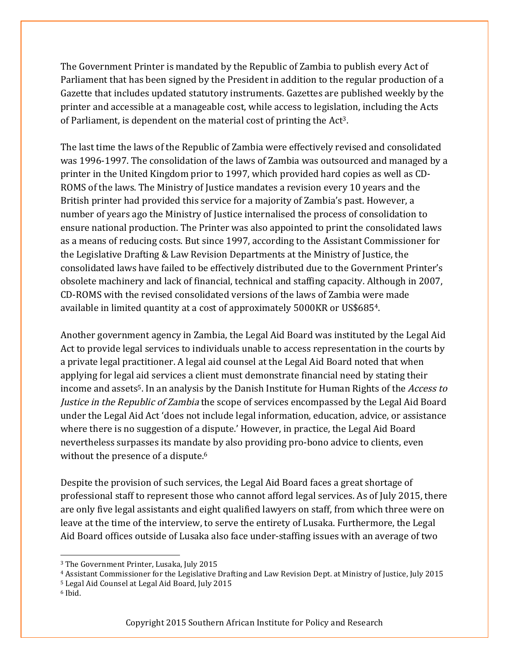The Government Printer is mandated by the Republic of Zambia to publish every Act of Parliament that has been signed by the President in addition to the regular production of a Gazette that includes updated statutory instruments. Gazettes are published weekly by the printer and accessible at a manageable cost, while access to legislation, including the Acts of Parliament, is dependent on the material cost of printing the Act3.

The last time the laws of the Republic of Zambia were effectively revised and consolidated was 1996-1997. The consolidation of the laws of Zambia was outsourced and managed by a printer in the United Kingdom prior to 1997, which provided hard copies as well as CD-ROMS of the laws. The Ministry of Justice mandates a revision every 10 years and the British printer had provided this service for a majority of Zambia's past. However, a number of years ago the Ministry of Justice internalised the process of consolidation to ensure national production. The Printer was also appointed to print the consolidated laws as a means of reducing costs. But since 1997, according to the Assistant Commissioner for the Legislative Drafting & Law Revision Departments at the Ministry of Justice, the consolidated laws have failed to be effectively distributed due to the Government Printer's obsolete machinery and lack of financial, technical and staffing capacity. Although in 2007, CD-ROMS with the revised consolidated versions of the laws of Zambia were made available in limited quantity at a cost of approximately 5000KR or US\$6854.

Another government agency in Zambia, the Legal Aid Board was instituted by the Legal Aid Act to provide legal services to individuals unable to access representation in the courts by a private legal practitioner. A legal aid counsel at the Legal Aid Board noted that when applying for legal aid services a client must demonstrate financial need by stating their income and assets<sup>5</sup>. In an analysis by the Danish Institute for Human Rights of the *Access to* Justice in the Republic of Zambia the scope of services encompassed by the Legal Aid Board under the Legal Aid Act 'does not include legal information, education, advice, or assistance where there is no suggestion of a dispute.' However, in practice, the Legal Aid Board nevertheless surpasses its mandate by also providing pro-bono advice to clients, even without the presence of a dispute.<sup>6</sup>

Despite the provision of such services, the Legal Aid Board faces a great shortage of professional staff to represent those who cannot afford legal services. As of July 2015, there are only five legal assistants and eight qualified lawyers on staff, from which three were on leave at the time of the interview, to serve the entirety of Lusaka. Furthermore, the Legal Aid Board offices outside of Lusaka also face under-staffing issues with an average of two

<u> Andreas Andreas Andreas Andreas Andreas Andreas Andreas Andreas Andreas Andreas Andreas Andreas Andreas Andreas</u>

<sup>4</sup> Assistant Commissioner for the Legislative Drafting and Law Revision Dept. at Ministry of Justice, July 2015

- <sup>5</sup> Legal Aid Counsel at Legal Aid Board, July 2015
- <sup>6</sup> Ibid.

<sup>3</sup> The Government Printer, Lusaka, July 2015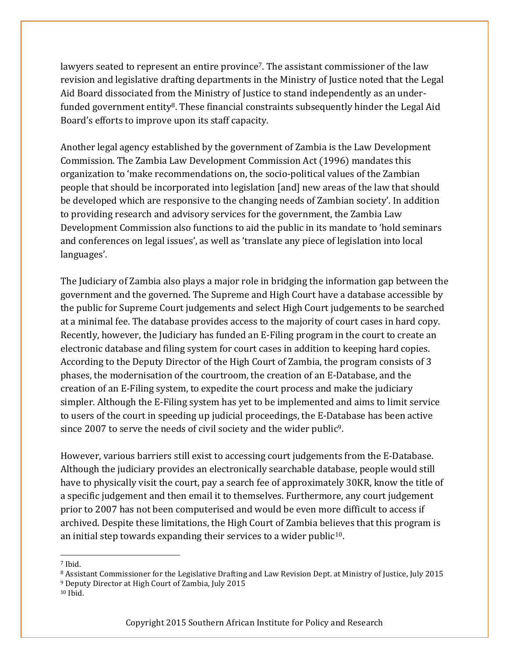lawyers seated to represent an entire province<sup>7</sup>. The assistant commissioner of the law revision and legislative drafting departments in the Ministry of Justice noted that the Legal Aid Board dissociated from the Ministry of Justice to stand independently as an underfunded government entity<sup>8</sup>. These financial constraints subsequently hinder the Legal Aid Board's efforts to improve upon its staff capacity.

Another legal agency established by the government of Zambia is the Law Development Commission. The Zambia Law Development Commission Act (1996) mandates this organization to 'make recommendations on, the socio-political values of the Zambian people that should be incorporated into legislation [and] new areas of the law that should be developed which are responsive to the changing needs of Zambian society'. In addition to providing research and advisory services for the government, the Zambia Law Development Commission also functions to aid the public in its mandate to 'hold seminars and conferences on legal issues', as well as 'translate any piece of legislation into local languages'.

The Judiciary of Zambia also plays a major role in bridging the information gap between the government and the governed. The Supreme and High Court have a database accessible by the public for Supreme Court judgements and select High Court judgements to be searched at a minimal fee. The database provides access to the majority of court cases in hard copy. Recently, however, the Judiciary has funded an E-Filing program in the court to create an electronic database and filing system for court cases in addition to keeping hard copies. According to the Deputy Director of the High Court of Zambia, the program consists of 3 phases, the modernisation of the courtroom, the creation of an E-Database, and the creation of an E-Filing system, to expedite the court process and make the judiciary simpler. Although the E-Filing system has yet to be implemented and aims to limit service to users of the court in speeding up judicial proceedings, the E-Database has been active since 2007 to serve the needs of civil society and the wider public<sup>9</sup>.

However, various barriers still exist to accessing court judgements from the E-Database. Although the judiciary provides an electronically searchable database, people would still have to physically visit the court, pay a search fee of approximately 30KR, know the title of a specific judgement and then email it to themselves. Furthermore, any court judgement prior to 2007 has not been computerised and would be even more difficult to access if archived. Despite these limitations, the High Court of Zambia believes that this program is an initial step towards expanding their services to a wider public<sup>10</sup>.

<u> Andreas Andreas Andreas Andreas Andreas Andreas Andreas Andreas Andreas Andreas Andreas Andreas Andreas Andreas</u>

<sup>7</sup> Ibid.

<sup>8</sup> Assistant Commissioner for the Legislative Drafting and Law Revision Dept. at Ministry of Justice, July 2015

<sup>9</sup> Deputy Director at High Court of Zambia, July 2015

<sup>10</sup> Ibid.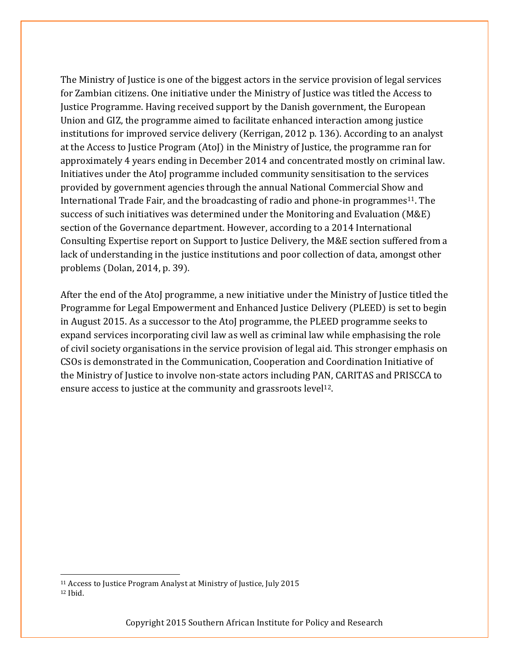The Ministry of Justice is one of the biggest actors in the service provision of legal services for Zambian citizens. One initiative under the Ministry of Justice was titled the Access to Justice Programme. Having received support by the Danish government, the European Union and GIZ, the programme aimed to facilitate enhanced interaction among justice institutions for improved service delivery (Kerrigan, 2012 p. 136). According to an analyst at the Access to Justice Program (AtoJ) in the Ministry of Justice, the programme ran for approximately 4 years ending in December 2014 and concentrated mostly on criminal law. Initiatives under the AtoJ programme included community sensitisation to the services provided by government agencies through the annual National Commercial Show and International Trade Fair, and the broadcasting of radio and phone-in programmes<sup>11</sup>. The success of such initiatives was determined under the Monitoring and Evaluation (M&E) section of the Governance department. However, according to a 2014 International Consulting Expertise report on Support to Justice Delivery, the M&E section suffered from a lack of understanding in the justice institutions and poor collection of data, amongst other problems (Dolan, 2014, p. 39).

After the end of the AtoJ programme, a new initiative under the Ministry of Justice titled the Programme for Legal Empowerment and Enhanced Justice Delivery (PLEED) is set to begin in August 2015. As a successor to the AtoJ programme, the PLEED programme seeks to expand services incorporating civil law as well as criminal law while emphasising the role of civil society organisations in the service provision of legal aid. This stronger emphasis on CSOs is demonstrated in the Communication, Cooperation and Coordination Initiative of the Ministry of Justice to involve non-state actors including PAN, CARITAS and PRISCCA to ensure access to justice at the community and grassroots level<sup>12</sup>.

 

<sup>11</sup> Access to Justice Program Analyst at Ministry of Justice, July 2015 <sup>12</sup> Ibid.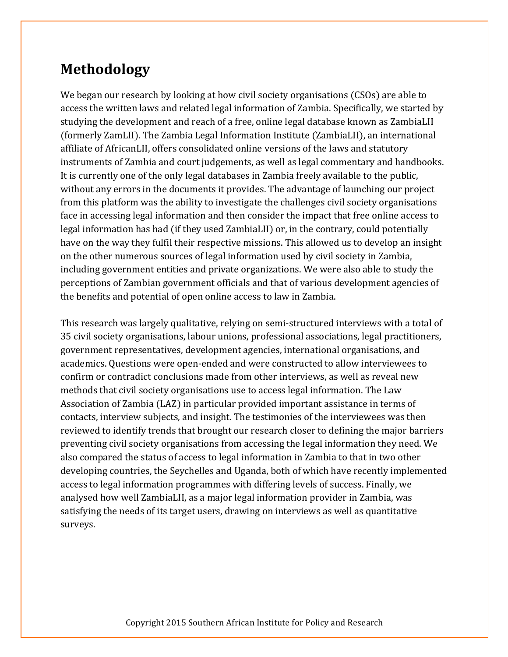# **Methodology**

We began our research by looking at how civil society organisations (CSOs) are able to access the written laws and related legal information of Zambia. Specifically, we started by studying the development and reach of a free, online legal database known as ZambiaLII (formerly ZamLII). The Zambia Legal Information Institute (ZambiaLII), an international affiliate of AfricanLII, offers consolidated online versions of the laws and statutory instruments of Zambia and court judgements, as well as legal commentary and handbooks. It is currently one of the only legal databases in Zambia freely available to the public, without any errors in the documents it provides. The advantage of launching our project from this platform was the ability to investigate the challenges civil society organisations face in accessing legal information and then consider the impact that free online access to legal information has had (if they used ZambiaLII) or, in the contrary, could potentially have on the way they fulfil their respective missions. This allowed us to develop an insight on the other numerous sources of legal information used by civil society in Zambia, including government entities and private organizations. We were also able to study the perceptions of Zambian government officials and that of various development agencies of the benefits and potential of open online access to law in Zambia.

This research was largely qualitative, relying on semi-structured interviews with a total of 35 civil society organisations, labour unions, professional associations, legal practitioners, government representatives, development agencies, international organisations, and academics. Questions were open-ended and were constructed to allow interviewees to confirm or contradict conclusions made from other interviews, as well as reveal new methods that civil society organisations use to access legal information. The Law Association of Zambia (LAZ) in particular provided important assistance in terms of contacts, interview subjects, and insight. The testimonies of the interviewees was then reviewed to identify trends that brought our research closer to defining the major barriers preventing civil society organisations from accessing the legal information they need. We also compared the status of access to legal information in Zambia to that in two other developing countries, the Seychelles and Uganda, both of which have recently implemented access to legal information programmes with differing levels of success. Finally, we analysed how well ZambiaLII, as a major legal information provider in Zambia, was satisfying the needs of its target users, drawing on interviews as well as quantitative surveys.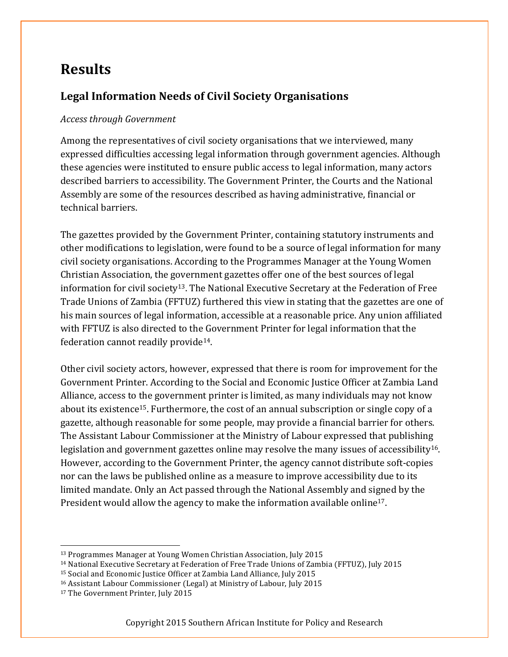# **Results**

### Legal Information Needs of Civil Society Organisations

#### *Access through Government*

Among the representatives of civil society organisations that we interviewed, many expressed difficulties accessing legal information through government agencies. Although these agencies were instituted to ensure public access to legal information, many actors described barriers to accessibility. The Government Printer, the Courts and the National Assembly are some of the resources described as having administrative, financial or technical barriers.

The gazettes provided by the Government Printer, containing statutory instruments and other modifications to legislation, were found to be a source of legal information for many civil society organisations. According to the Programmes Manager at the Young Women Christian Association, the government gazettes offer one of the best sources of legal information for civil society<sup>13</sup>. The National Executive Secretary at the Federation of Free Trade Unions of Zambia (FFTUZ) furthered this view in stating that the gazettes are one of his main sources of legal information, accessible at a reasonable price. Any union affiliated with FFTUZ is also directed to the Government Printer for legal information that the federation cannot readily provide14.

Other civil society actors, however, expressed that there is room for improvement for the Government Printer. According to the Social and Economic Justice Officer at Zambia Land Alliance, access to the government printer is limited, as many individuals may not know about its existence15. Furthermore, the cost of an annual subscription or single copy of a gazette, although reasonable for some people, may provide a financial barrier for others. The Assistant Labour Commissioner at the Ministry of Labour expressed that publishing legislation and government gazettes online may resolve the many issues of accessibility16. However, according to the Government Printer, the agency cannot distribute soft-copies nor can the laws be published online as a measure to improve accessibility due to its limited mandate. Only an Act passed through the National Assembly and signed by the President would allow the agency to make the information available online17.

<sup>13</sup> Programmes Manager at Young Women Christian Association, July 2015

<sup>&</sup>lt;sup>14</sup> National Executive Secretary at Federation of Free Trade Unions of Zambia (FFTUZ), July 2015

<sup>15</sup> Social and Economic Justice Officer at Zambia Land Alliance, July 2015

<sup>16</sup> Assistant Labour Commissioner (Legal) at Ministry of Labour, July 2015

<sup>17</sup> The Government Printer, July 2015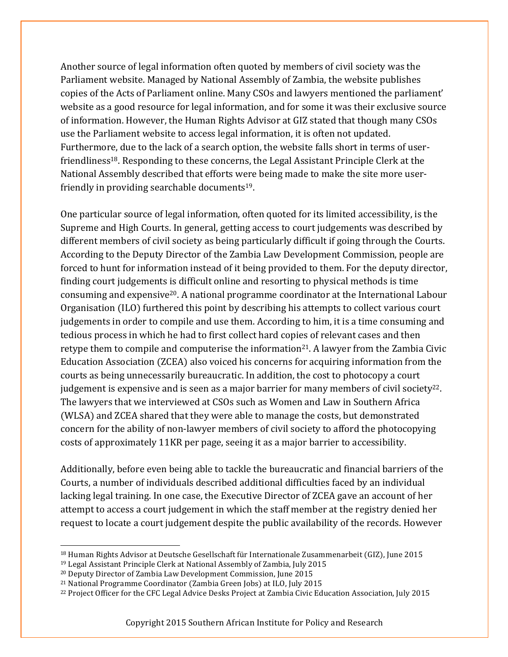Another source of legal information often quoted by members of civil society was the Parliament website. Managed by National Assembly of Zambia, the website publishes copies of the Acts of Parliament online. Many CSOs and lawyers mentioned the parliament' website as a good resource for legal information, and for some it was their exclusive source of information. However, the Human Rights Advisor at GIZ stated that though many CSOs use the Parliament website to access legal information, it is often not updated. Furthermore, due to the lack of a search option, the website falls short in terms of userfriendliness18. Responding to these concerns, the Legal Assistant Principle Clerk at the National Assembly described that efforts were being made to make the site more userfriendly in providing searchable documents19.

One particular source of legal information, often quoted for its limited accessibility, is the Supreme and High Courts. In general, getting access to court judgements was described by different members of civil society as being particularly difficult if going through the Courts. According to the Deputy Director of the Zambia Law Development Commission, people are forced to hunt for information instead of it being provided to them. For the deputy director, finding court judgements is difficult online and resorting to physical methods is time consuming and expensive20. A national programme coordinator at the International Labour Organisation (ILO) furthered this point by describing his attempts to collect various court judgements in order to compile and use them. According to him, it is a time consuming and tedious process in which he had to first collect hard copies of relevant cases and then retype them to compile and computerise the information<sup>21</sup>. A lawyer from the Zambia Civic Education Association (ZCEA) also voiced his concerns for acquiring information from the courts as being unnecessarily bureaucratic. In addition, the cost to photocopy a court judgement is expensive and is seen as a major barrier for many members of civil society<sup>22</sup>. The lawyers that we interviewed at CSOs such as Women and Law in Southern Africa (WLSA) and ZCEA shared that they were able to manage the costs, but demonstrated concern for the ability of non-lawyer members of civil society to afford the photocopying costs of approximately 11KR per page, seeing it as a major barrier to accessibility.

Additionally, before even being able to tackle the bureaucratic and financial barriers of the Courts, a number of individuals described additional difficulties faced by an individual lacking legal training. In one case, the Executive Director of ZCEA gave an account of her attempt to access a court judgement in which the staff member at the registry denied her request to locate a court judgement despite the public availability of the records. However

<sup>18</sup> Human Rights Advisor at Deutsche Gesellschaft für Internationale Zusammenarbeit (GIZ), June 2015

<sup>19</sup> Legal Assistant Principle Clerk at National Assembly of Zambia, July 2015

<sup>20</sup> Deputy Director of Zambia Law Development Commission, June 2015

<sup>21</sup> National Programme Coordinator (Zambia Green Jobs) at ILO, July 2015

<sup>&</sup>lt;sup>22</sup> Project Officer for the CFC Legal Advice Desks Project at Zambia Civic Education Association, July 2015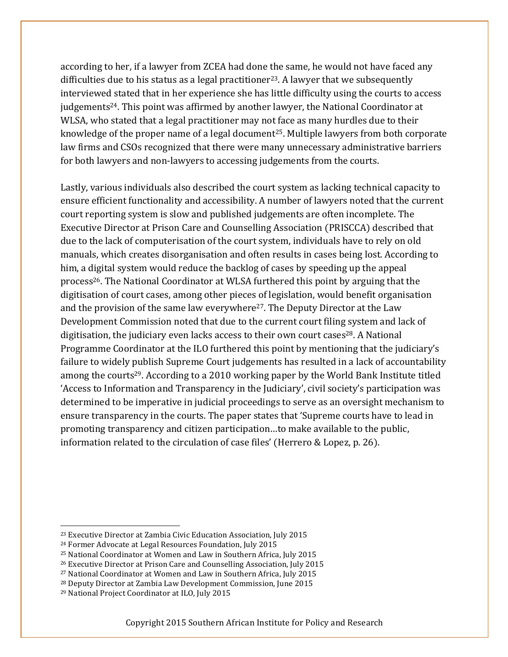according to her, if a lawyer from ZCEA had done the same, he would not have faced any difficulties due to his status as a legal practitioner<sup>23</sup>. A lawyer that we subsequently interviewed stated that in her experience she has little difficulty using the courts to access judgements24. This point was affirmed by another lawyer, the National Coordinator at WLSA, who stated that a legal practitioner may not face as many hurdles due to their knowledge of the proper name of a legal document<sup>25</sup>. Multiple lawyers from both corporate law firms and CSOs recognized that there were many unnecessary administrative barriers for both lawyers and non-lawyers to accessing judgements from the courts.

Lastly, various individuals also described the court system as lacking technical capacity to ensure efficient functionality and accessibility. A number of lawyers noted that the current court reporting system is slow and published judgements are often incomplete. The Executive Director at Prison Care and Counselling Association (PRISCCA) described that due to the lack of computerisation of the court system, individuals have to rely on old manuals, which creates disorganisation and often results in cases being lost. According to him, a digital system would reduce the backlog of cases by speeding up the appeal process26. The National Coordinator at WLSA furthered this point by arguing that the digitisation of court cases, among other pieces of legislation, would benefit organisation and the provision of the same law everywhere<sup>27</sup>. The Deputy Director at the Law Development Commission noted that due to the current court filing system and lack of digitisation, the judiciary even lacks access to their own court cases<sup>28</sup>. A National Programme Coordinator at the ILO furthered this point by mentioning that the judiciary's failure to widely publish Supreme Court judgements has resulted in a lack of accountability among the courts<sup>29</sup>. According to a 2010 working paper by the World Bank Institute titled 'Access to Information and Transparency in the Judiciary', civil society's participation was determined to be imperative in judicial proceedings to serve as an oversight mechanism to ensure transparency in the courts. The paper states that 'Supreme courts have to lead in promoting transparency and citizen participation…to make available to the public, information related to the circulation of case files' (Herrero & Lopez, p. 26).

<u> Andreas Andreas Andreas Andreas Andreas Andreas Andreas Andreas Andreas Andreas Andreas Andreas Andreas Andreas</u>

<sup>23</sup> Executive Director at Zambia Civic Education Association, July 2015

<sup>24</sup> Former Advocate at Legal Resources Foundation, July 2015

<sup>25</sup> National Coordinator at Women and Law in Southern Africa, July 2015

<sup>26</sup> Executive Director at Prison Care and Counselling Association, July 2015

<sup>27</sup> National Coordinator at Women and Law in Southern Africa, July 2015

<sup>28</sup> Deputy Director at Zambia Law Development Commission, June 2015

<sup>29</sup> National Project Coordinator at ILO, July 2015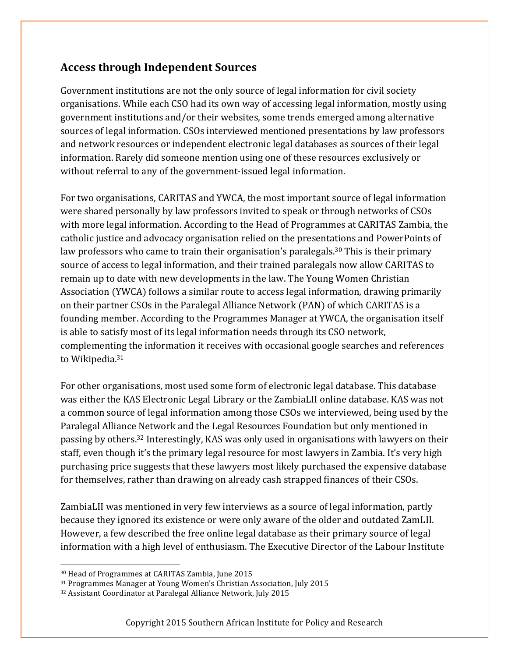### **Access through Independent Sources**

Government institutions are not the only source of legal information for civil society organisations. While each CSO had its own way of accessing legal information, mostly using government institutions and/or their websites, some trends emerged among alternative sources of legal information. CSOs interviewed mentioned presentations by law professors and network resources or independent electronic legal databases as sources of their legal information. Rarely did someone mention using one of these resources exclusively or without referral to any of the government-issued legal information.

For two organisations, CARITAS and YWCA, the most important source of legal information were shared personally by law professors invited to speak or through networks of CSOs with more legal information. According to the Head of Programmes at CARITAS Zambia, the catholic justice and advocacy organisation relied on the presentations and PowerPoints of law professors who came to train their organisation's paralegals.<sup>30</sup> This is their primary source of access to legal information, and their trained paralegals now allow CARITAS to remain up to date with new developments in the law. The Young Women Christian Association (YWCA) follows a similar route to access legal information, drawing primarily on their partner CSOs in the Paralegal Alliance Network (PAN) of which CARITAS is a founding member. According to the Programmes Manager at YWCA, the organisation itself is able to satisfy most of its legal information needs through its CSO network, complementing the information it receives with occasional google searches and references to Wikipedia.<sup>31</sup>

For other organisations, most used some form of electronic legal database. This database was either the KAS Electronic Legal Library or the ZambiaLII online database. KAS was not a common source of legal information among those CSOs we interviewed, being used by the Paralegal Alliance Network and the Legal Resources Foundation but only mentioned in passing by others.32 Interestingly, KAS was only used in organisations with lawyers on their staff, even though it's the primary legal resource for most lawyers in Zambia. It's very high purchasing price suggests that these lawyers most likely purchased the expensive database for themselves, rather than drawing on already cash strapped finances of their CSOs.

ZambiaLII was mentioned in very few interviews as a source of legal information, partly because they ignored its existence or were only aware of the older and outdated ZamLII. However, a few described the free online legal database as their primary source of legal information with a high level of enthusiasm. The Executive Director of the Labour Institute

<sup>30</sup> Head of Programmes at CARITAS Zambia, June 2015

<sup>31</sup> Programmes Manager at Young Women's Christian Association, July 2015

<sup>32</sup> Assistant Coordinator at Paralegal Alliance Network, July 2015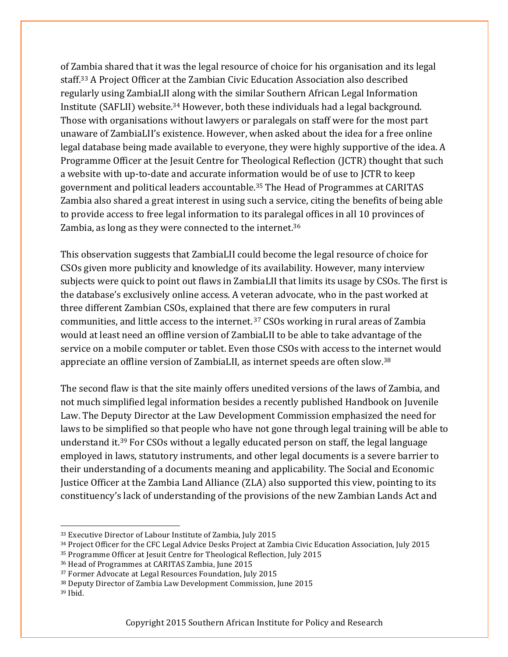of Zambia shared that it was the legal resource of choice for his organisation and its legal staff.33 A Project Officer at the Zambian Civic Education Association also described regularly using ZambiaLII along with the similar Southern African Legal Information Institute (SAFLII) website.34 However, both these individuals had a legal background. Those with organisations without lawyers or paralegals on staff were for the most part unaware of ZambiaLII's existence. However, when asked about the idea for a free online legal database being made available to everyone, they were highly supportive of the idea. A Programme Officer at the Jesuit Centre for Theological Reflection (JCTR) thought that such a website with up-to-date and accurate information would be of use to JCTR to keep government and political leaders accountable.35 The Head of Programmes at CARITAS Zambia also shared a great interest in using such a service, citing the benefits of being able to provide access to free legal information to its paralegal offices in all 10 provinces of Zambia, as long as they were connected to the internet.<sup>36</sup>

This observation suggests that ZambiaLII could become the legal resource of choice for CSOs given more publicity and knowledge of its availability. However, many interview subjects were quick to point out flaws in ZambiaLII that limits its usage by CSOs. The first is the database's exclusively online access. A veteran advocate, who in the past worked at three different Zambian CSOs, explained that there are few computers in rural communities, and little access to the internet. <sup>37</sup> CSOs working in rural areas of Zambia would at least need an offline version of ZambiaLII to be able to take advantage of the service on a mobile computer or tablet. Even those CSOs with access to the internet would appreciate an offline version of ZambiaLII, as internet speeds are often slow.38

The second flaw is that the site mainly offers unedited versions of the laws of Zambia, and not much simplified legal information besides a recently published Handbook on Juvenile Law. The Deputy Director at the Law Development Commission emphasized the need for laws to be simplified so that people who have not gone through legal training will be able to understand it.39 For CSOs without a legally educated person on staff, the legal language employed in laws, statutory instruments, and other legal documents is a severe barrier to their understanding of a documents meaning and applicability. The Social and Economic Justice Officer at the Zambia Land Alliance (ZLA) also supported this view, pointing to its constituency's lack of understanding of the provisions of the new Zambian Lands Act and

<u> Andreas Andreas Andreas Andreas Andreas Andreas Andreas Andreas Andreas Andreas Andreas Andreas Andreas Andreas</u>

<sup>33</sup> Executive Director of Labour Institute of Zambia, July 2015

<sup>34</sup> Project Officer for the CFC Legal Advice Desks Project at Zambia Civic Education Association, July 2015

<sup>35</sup> Programme Officer at Jesuit Centre for Theological Reflection, July 2015

<sup>36</sup> Head of Programmes at CARITAS Zambia, June 2015

<sup>37</sup> Former Advocate at Legal Resources Foundation, July 2015

<sup>38</sup> Deputy Director of Zambia Law Development Commission, June 2015

<sup>39</sup> Ibid.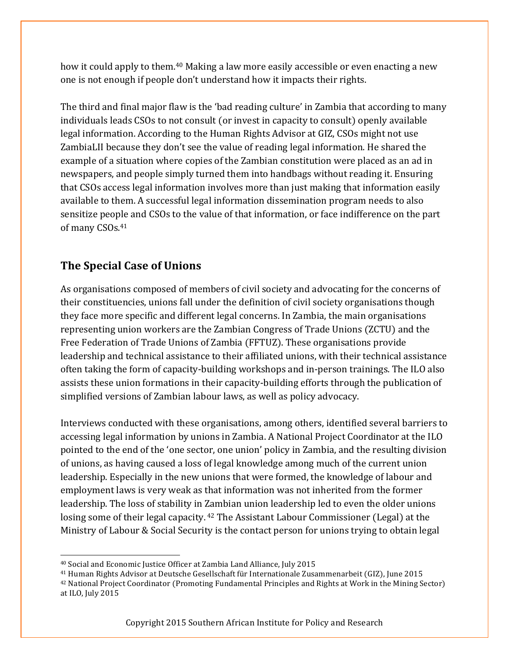how it could apply to them.40 Making a law more easily accessible or even enacting a new one is not enough if people don't understand how it impacts their rights.

The third and final major flaw is the 'bad reading culture' in Zambia that according to many individuals leads CSOs to not consult (or invest in capacity to consult) openly available legal information. According to the Human Rights Advisor at GIZ, CSOs might not use ZambiaLII because they don't see the value of reading legal information. He shared the example of a situation where copies of the Zambian constitution were placed as an ad in newspapers, and people simply turned them into handbags without reading it. Ensuring that CSOs access legal information involves more than just making that information easily available to them. A successful legal information dissemination program needs to also sensitize people and CSOs to the value of that information, or face indifference on the part of many CSOs.41

#### **The Special Case of Unions**

<u> Andreas Andreas Andreas Andreas Andreas Andreas Andreas Andreas Andreas Andreas Andreas Andreas Andreas Andreas</u>

As organisations composed of members of civil society and advocating for the concerns of their constituencies, unions fall under the definition of civil society organisations though they face more specific and different legal concerns. In Zambia, the main organisations representing union workers are the Zambian Congress of Trade Unions (ZCTU) and the Free Federation of Trade Unions of Zambia (FFTUZ). These organisations provide leadership and technical assistance to their affiliated unions, with their technical assistance often taking the form of capacity-building workshops and in-person trainings. The ILO also assists these union formations in their capacity-building efforts through the publication of simplified versions of Zambian labour laws, as well as policy advocacy.

Interviews conducted with these organisations, among others, identified several barriers to accessing legal information by unions in Zambia. A National Project Coordinator at the ILO pointed to the end of the 'one sector, one union' policy in Zambia, and the resulting division of unions, as having caused a loss of legal knowledge among much of the current union leadership. Especially in the new unions that were formed, the knowledge of labour and employment laws is very weak as that information was not inherited from the former leadership. The loss of stability in Zambian union leadership led to even the older unions losing some of their legal capacity. <sup>42</sup> The Assistant Labour Commissioner (Legal) at the Ministry of Labour & Social Security is the contact person for unions trying to obtain legal

<sup>40</sup> Social and Economic Justice Officer at Zambia Land Alliance, July 2015

<sup>41</sup> Human Rights Advisor at Deutsche Gesellschaft für Internationale Zusammenarbeit (GIZ), June 2015

<sup>42</sup> National Project Coordinator (Promoting Fundamental Principles and Rights at Work in the Mining Sector) at ILO, July 2015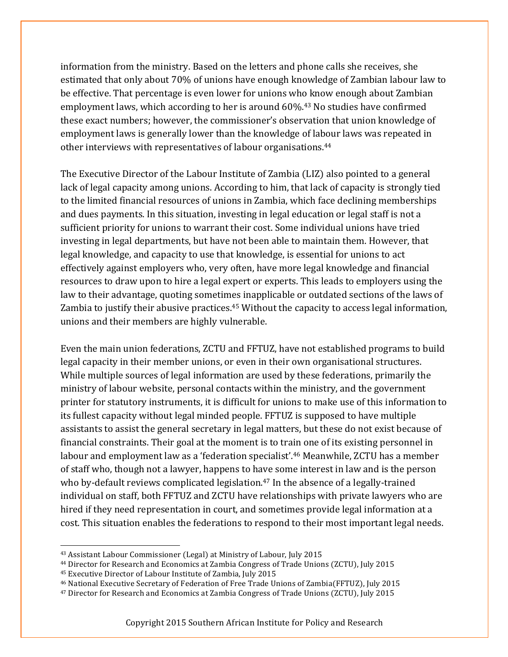information from the ministry. Based on the letters and phone calls she receives, she estimated that only about 70% of unions have enough knowledge of Zambian labour law to be effective. That percentage is even lower for unions who know enough about Zambian employment laws, which according to her is around 60%.43 No studies have confirmed these exact numbers; however, the commissioner's observation that union knowledge of employment laws is generally lower than the knowledge of labour laws was repeated in other interviews with representatives of labour organisations.44

The Executive Director of the Labour Institute of Zambia (LIZ) also pointed to a general lack of legal capacity among unions. According to him, that lack of capacity is strongly tied to the limited financial resources of unions in Zambia, which face declining memberships and dues payments. In this situation, investing in legal education or legal staff is not a sufficient priority for unions to warrant their cost. Some individual unions have tried investing in legal departments, but have not been able to maintain them. However, that legal knowledge, and capacity to use that knowledge, is essential for unions to act effectively against employers who, very often, have more legal knowledge and financial resources to draw upon to hire a legal expert or experts. This leads to employers using the law to their advantage, quoting sometimes inapplicable or outdated sections of the laws of Zambia to justify their abusive practices.<sup>45</sup> Without the capacity to access legal information, unions and their members are highly vulnerable.

Even the main union federations, ZCTU and FFTUZ, have not established programs to build legal capacity in their member unions, or even in their own organisational structures. While multiple sources of legal information are used by these federations, primarily the ministry of labour website, personal contacts within the ministry, and the government printer for statutory instruments, it is difficult for unions to make use of this information to its fullest capacity without legal minded people. FFTUZ is supposed to have multiple assistants to assist the general secretary in legal matters, but these do not exist because of financial constraints. Their goal at the moment is to train one of its existing personnel in labour and employment law as a 'federation specialist'.<sup>46</sup> Meanwhile, ZCTU has a member of staff who, though not a lawyer, happens to have some interest in law and is the person who by-default reviews complicated legislation.<sup>47</sup> In the absence of a legally-trained individual on staff, both FFTUZ and ZCTU have relationships with private lawyers who are hired if they need representation in court, and sometimes provide legal information at a cost. This situation enables the federations to respond to their most important legal needs.

<sup>44</sup> Director for Research and Economics at Zambia Congress of Trade Unions (ZCTU), July 2015

<sup>43</sup> Assistant Labour Commissioner (Legal) at Ministry of Labour, July 2015

<sup>45</sup> Executive Director of Labour Institute of Zambia, July 2015

<sup>46</sup> National Executive Secretary of Federation of Free Trade Unions of Zambia(FFTUZ), July 2015

<sup>47</sup> Director for Research and Economics at Zambia Congress of Trade Unions (ZCTU), July 2015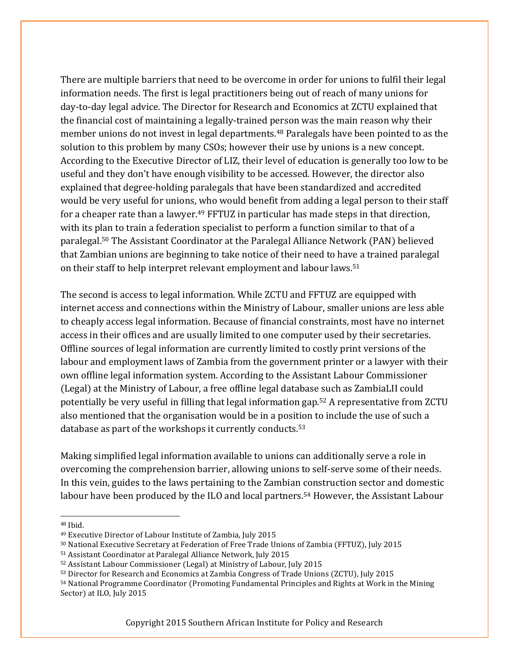There are multiple barriers that need to be overcome in order for unions to fulfil their legal information needs. The first is legal practitioners being out of reach of many unions for day-to-day legal advice. The Director for Research and Economics at ZCTU explained that the financial cost of maintaining a legally-trained person was the main reason why their member unions do not invest in legal departments.<sup>48</sup> Paralegals have been pointed to as the solution to this problem by many CSOs; however their use by unions is a new concept. According to the Executive Director of LIZ, their level of education is generally too low to be useful and they don't have enough visibility to be accessed. However, the director also explained that degree-holding paralegals that have been standardized and accredited would be very useful for unions, who would benefit from adding a legal person to their staff for a cheaper rate than a lawyer.<sup>49</sup> FFTUZ in particular has made steps in that direction, with its plan to train a federation specialist to perform a function similar to that of a paralegal.50 The Assistant Coordinator at the Paralegal Alliance Network (PAN) believed that Zambian unions are beginning to take notice of their need to have a trained paralegal on their staff to help interpret relevant employment and labour laws.51

The second is access to legal information. While ZCTU and FFTUZ are equipped with internet access and connections within the Ministry of Labour, smaller unions are less able to cheaply access legal information. Because of financial constraints, most have no internet access in their offices and are usually limited to one computer used by their secretaries. Offline sources of legal information are currently limited to costly print versions of the labour and employment laws of Zambia from the government printer or a lawyer with their own offline legal information system. According to the Assistant Labour Commissioner (Legal) at the Ministry of Labour, a free offline legal database such as ZambiaLII could potentially be very useful in filling that legal information gap.52 A representative from ZCTU also mentioned that the organisation would be in a position to include the use of such a database as part of the workshops it currently conducts.53

Making simplified legal information available to unions can additionally serve a role in overcoming the comprehension barrier, allowing unions to self-serve some of their needs. In this vein, guides to the laws pertaining to the Zambian construction sector and domestic labour have been produced by the ILO and local partners.<sup>54</sup> However, the Assistant Labour

 

<sup>48</sup> Ibid.

<sup>49</sup> Executive Director of Labour Institute of Zambia, July 2015

<sup>50</sup> National Executive Secretary at Federation of Free Trade Unions of Zambia (FFTUZ), July 2015

<sup>51</sup> Assistant Coordinator at Paralegal Alliance Network, July 2015

<sup>52</sup> Assistant Labour Commissioner (Legal) at Ministry of Labour, July 2015

<sup>53</sup> Director for Research and Economics at Zambia Congress of Trade Unions (ZCTU), July 2015

<sup>54</sup> National Programme Coordinator (Promoting Fundamental Principles and Rights at Work in the Mining Sector) at ILO, July 2015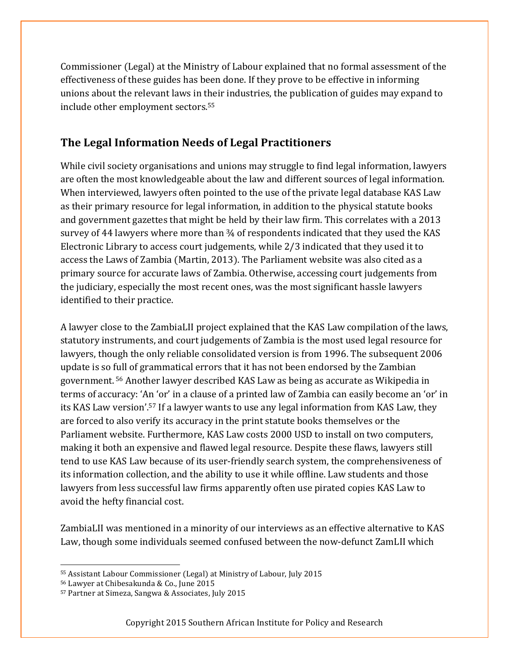Commissioner (Legal) at the Ministry of Labour explained that no formal assessment of the effectiveness of these guides has been done. If they prove to be effective in informing unions about the relevant laws in their industries, the publication of guides may expand to include other employment sectors.55

### **The Legal Information Needs of Legal Practitioners**

While civil society organisations and unions may struggle to find legal information, lawyers are often the most knowledgeable about the law and different sources of legal information. When interviewed, lawyers often pointed to the use of the private legal database KAS Law as their primary resource for legal information, in addition to the physical statute books and government gazettes that might be held by their law firm. This correlates with a 2013 survey of 44 lawyers where more than  $\frac{3}{4}$  of respondents indicated that they used the KAS Electronic Library to access court judgements, while 2/3 indicated that they used it to access the Laws of Zambia (Martin, 2013). The Parliament website was also cited as a primary source for accurate laws of Zambia. Otherwise, accessing court judgements from the judiciary, especially the most recent ones, was the most significant hassle lawyers identified to their practice.

A lawyer close to the ZambiaLII project explained that the KAS Law compilation of the laws, statutory instruments, and court judgements of Zambia is the most used legal resource for lawyers, though the only reliable consolidated version is from 1996. The subsequent 2006 update is so full of grammatical errors that it has not been endorsed by the Zambian government. <sup>56</sup> Another lawyer described KAS Law as being as accurate as Wikipedia in terms of accuracy: 'An 'or' in a clause of a printed law of Zambia can easily become an 'or' in its KAS Law version'.57 If a lawyer wants to use any legal information from KAS Law, they are forced to also verify its accuracy in the print statute books themselves or the Parliament website. Furthermore, KAS Law costs 2000 USD to install on two computers, making it both an expensive and flawed legal resource. Despite these flaws, lawyers still tend to use KAS Law because of its user-friendly search system, the comprehensiveness of its information collection, and the ability to use it while offline. Law students and those lawyers from less successful law firms apparently often use pirated copies KAS Law to avoid the hefty financial cost.

ZambiaLII was mentioned in a minority of our interviews as an effective alternative to KAS Law, though some individuals seemed confused between the now-defunct ZamLII which

<sup>55</sup> Assistant Labour Commissioner (Legal) at Ministry of Labour, July 2015

<sup>56</sup> Lawyer at Chibesakunda & Co., June 2015

<sup>57</sup> Partner at Simeza, Sangwa & Associates, July 2015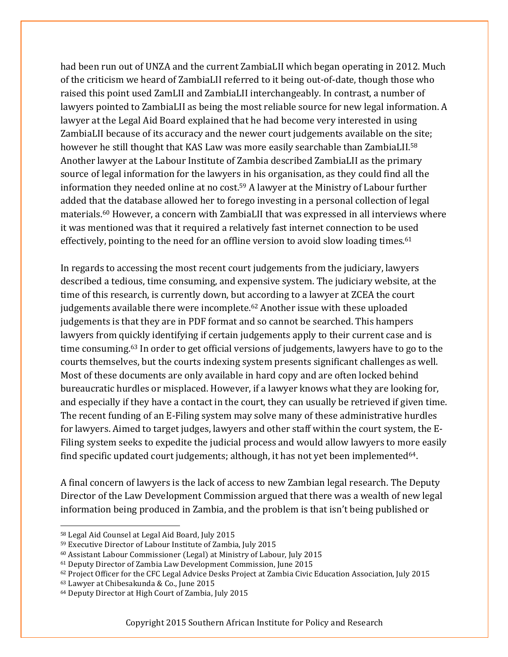had been run out of UNZA and the current ZambiaLII which began operating in 2012. Much of the criticism we heard of ZambiaLII referred to it being out-of-date, though those who raised this point used ZamLII and ZambiaLII interchangeably. In contrast, a number of lawyers pointed to ZambiaLII as being the most reliable source for new legal information. A lawyer at the Legal Aid Board explained that he had become very interested in using ZambiaLII because of its accuracy and the newer court judgements available on the site; however he still thought that KAS Law was more easily searchable than ZambiaLII.<sup>58</sup> Another lawyer at the Labour Institute of Zambia described ZambiaLII as the primary source of legal information for the lawyers in his organisation, as they could find all the information they needed online at no cost.59 A lawyer at the Ministry of Labour further added that the database allowed her to forego investing in a personal collection of legal materials.60 However, a concern with ZambiaLII that was expressed in all interviews where it was mentioned was that it required a relatively fast internet connection to be used effectively, pointing to the need for an offline version to avoid slow loading times.<sup>61</sup>

In regards to accessing the most recent court judgements from the judiciary, lawyers described a tedious, time consuming, and expensive system. The judiciary website, at the time of this research, is currently down, but according to a lawyer at ZCEA the court judgements available there were incomplete.62 Another issue with these uploaded judgements is that they are in PDF format and so cannot be searched. This hampers lawyers from quickly identifying if certain judgements apply to their current case and is time consuming. <sup>63</sup> In order to get official versions of judgements, lawyers have to go to the courts themselves, but the courts indexing system presents significant challenges as well. Most of these documents are only available in hard copy and are often locked behind bureaucratic hurdles or misplaced. However, if a lawyer knows what they are looking for, and especially if they have a contact in the court, they can usually be retrieved if given time. The recent funding of an E-Filing system may solve many of these administrative hurdles for lawyers. Aimed to target judges, lawyers and other staff within the court system, the E-Filing system seeks to expedite the judicial process and would allow lawyers to more easily find specific updated court judgements; although, it has not yet been implemented $64$ .

A final concern of lawyers is the lack of access to new Zambian legal research. The Deputy Director of the Law Development Commission argued that there was a wealth of new legal information being produced in Zambia, and the problem is that isn't being published or

<u> Andreas Andreas Andreas Andreas Andreas Andreas Andreas Andreas Andreas Andreas Andreas Andreas Andreas Andreas</u>

<sup>58</sup> Legal Aid Counsel at Legal Aid Board, July 2015

<sup>59</sup> Executive Director of Labour Institute of Zambia, July 2015

<sup>60</sup> Assistant Labour Commissioner (Legal) at Ministry of Labour, July 2015

<sup>61</sup> Deputy Director of Zambia Law Development Commission, June 2015

<sup>62</sup> Project Officer for the CFC Legal Advice Desks Project at Zambia Civic Education Association, July 2015

<sup>63</sup> Lawyer at Chibesakunda & Co., June 2015

<sup>64</sup> Deputy Director at High Court of Zambia, July 2015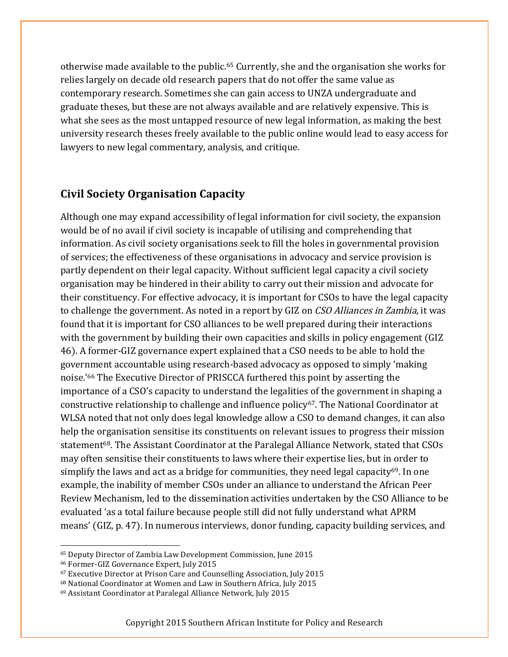otherwise made available to the public.65 Currently, she and the organisation she works for relies largely on decade old research papers that do not offer the same value as contemporary research. Sometimes she can gain access to UNZA undergraduate and graduate theses, but these are not always available and are relatively expensive. This is what she sees as the most untapped resource of new legal information, as making the best university research theses freely available to the public online would lead to easy access for lawyers to new legal commentary, analysis, and critique.

#### **Civil Society Organisation Capacity**

Although one may expand accessibility of legal information for civil society, the expansion would be of no avail if civil society is incapable of utilising and comprehending that information. As civil society organisations seek to fill the holes in governmental provision of services; the effectiveness of these organisations in advocacy and service provision is partly dependent on their legal capacity. Without sufficient legal capacity a civil society organisation may be hindered in their ability to carry out their mission and advocate for their constituency. For effective advocacy, it is important for CSOs to have the legal capacity to challenge the government. As noted in a report by GIZ on CSO Alliances in Zambia, it was found that it is important for CSO alliances to be well prepared during their interactions with the government by building their own capacities and skills in policy engagement (GIZ 46). A former-GIZ governance expert explained that a CSO needs to be able to hold the government accountable using research-based advocacy as opposed to simply 'making noise.'66 The Executive Director of PRISCCA furthered this point by asserting the importance of a CSO's capacity to understand the legalities of the government in shaping a constructive relationship to challenge and influence policy<sup>67</sup>. The National Coordinator at WLSA noted that not only does legal knowledge allow a CSO to demand changes, it can also help the organisation sensitise its constituents on relevant issues to progress their mission statement<sup>68</sup>. The Assistant Coordinator at the Paralegal Alliance Network, stated that CSOs may often sensitise their constituents to laws where their expertise lies, but in order to simplify the laws and act as a bridge for communities, they need legal capacity $69$ . In one example, the inability of member CSOs under an alliance to understand the African Peer Review Mechanism, led to the dissemination activities undertaken by the CSO Alliance to be evaluated 'as a total failure because people still did not fully understand what APRM means' (GIZ, p. 47). In numerous interviews, donor funding, capacity building services, and

 

<sup>68</sup> National Coordinator at Women and Law in Southern Africa, July 2015

<sup>65</sup> Deputy Director of Zambia Law Development Commission, June 2015

<sup>66</sup> Former-GIZ Governance Expert, July 2015

<sup>67</sup> Executive Director at Prison Care and Counselling Association, July 2015

<sup>69</sup> Assistant Coordinator at Paralegal Alliance Network, July 2015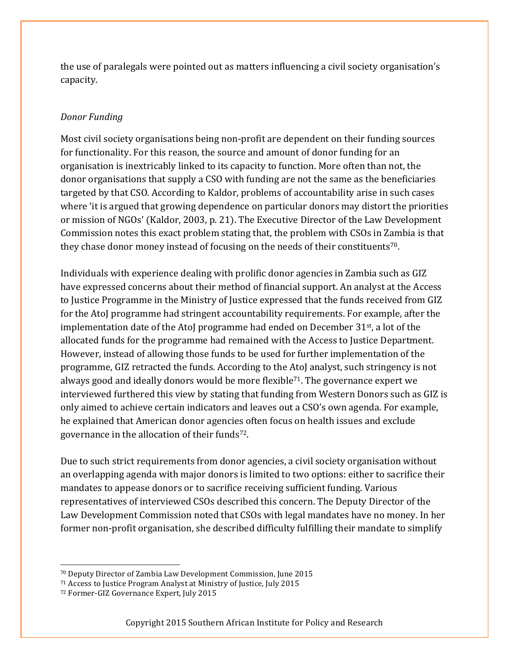the use of paralegals were pointed out as matters influencing a civil society organisation's capacity.

#### *Donor Funding*

Most civil society organisations being non-profit are dependent on their funding sources for functionality. For this reason, the source and amount of donor funding for an organisation is inextricably linked to its capacity to function. More often than not, the donor organisations that supply a CSO with funding are not the same as the beneficiaries targeted by that CSO. According to Kaldor, problems of accountability arise in such cases where 'it is argued that growing dependence on particular donors may distort the priorities or mission of NGOs' (Kaldor, 2003, p. 21). The Executive Director of the Law Development Commission notes this exact problem stating that, the problem with CSOs in Zambia is that they chase donor money instead of focusing on the needs of their constituents<sup>70</sup>.

Individuals with experience dealing with prolific donor agencies in Zambia such as GIZ have expressed concerns about their method of financial support. An analyst at the Access to Justice Programme in the Ministry of Justice expressed that the funds received from GIZ for the AtoJ programme had stringent accountability requirements. For example, after the implementation date of the AtoJ programme had ended on December  $31<sup>st</sup>$ , a lot of the allocated funds for the programme had remained with the Access to Justice Department. However, instead of allowing those funds to be used for further implementation of the programme, GIZ retracted the funds. According to the AtoJ analyst, such stringency is not always good and ideally donors would be more flexible<sup>71</sup>. The governance expert we interviewed furthered this view by stating that funding from Western Donors such as GIZ is only aimed to achieve certain indicators and leaves out a CSO's own agenda. For example, he explained that American donor agencies often focus on health issues and exclude governance in the allocation of their funds72.

Due to such strict requirements from donor agencies, a civil society organisation without an overlapping agenda with major donors is limited to two options: either to sacrifice their mandates to appease donors or to sacrifice receiving sufficient funding. Various representatives of interviewed CSOs described this concern. The Deputy Director of the Law Development Commission noted that CSOs with legal mandates have no money. In her former non-profit organisation, she described difficulty fulfilling their mandate to simplify

<sup>70</sup> Deputy Director of Zambia Law Development Commission, June 2015

<sup>71</sup> Access to Justice Program Analyst at Ministry of Justice, July 2015

<sup>72</sup> Former-GIZ Governance Expert, July 2015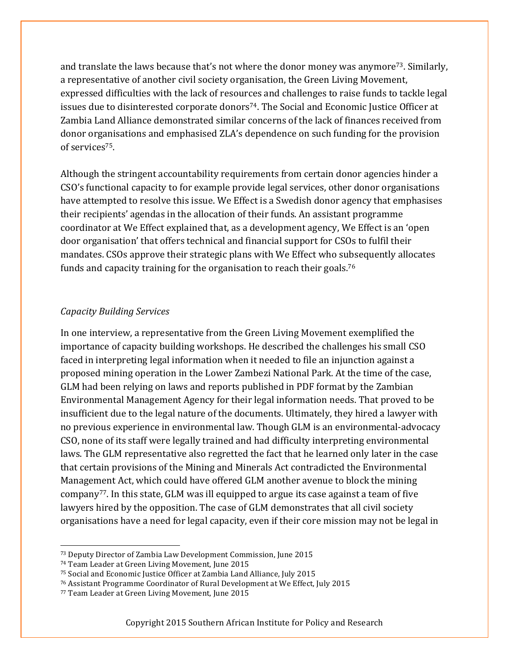and translate the laws because that's not where the donor money was anymore<sup>73</sup>. Similarly, a representative of another civil society organisation, the Green Living Movement, expressed difficulties with the lack of resources and challenges to raise funds to tackle legal issues due to disinterested corporate donors<sup>74</sup>. The Social and Economic Justice Officer at Zambia Land Alliance demonstrated similar concerns of the lack of finances received from donor organisations and emphasised ZLA's dependence on such funding for the provision of services<sup>75</sup>.

Although the stringent accountability requirements from certain donor agencies hinder a CSO's functional capacity to for example provide legal services, other donor organisations have attempted to resolve this issue. We Effect is a Swedish donor agency that emphasises their recipients' agendas in the allocation of their funds. An assistant programme coordinator at We Effect explained that, as a development agency, We Effect is an 'open door organisation' that offers technical and financial support for CSOs to fulfil their mandates. CSOs approve their strategic plans with We Effect who subsequently allocates funds and capacity training for the organisation to reach their goals.76

#### *Capacity Building Services*

In one interview, a representative from the Green Living Movement exemplified the importance of capacity building workshops. He described the challenges his small CSO faced in interpreting legal information when it needed to file an injunction against a proposed mining operation in the Lower Zambezi National Park. At the time of the case, GLM had been relying on laws and reports published in PDF format by the Zambian Environmental Management Agency for their legal information needs. That proved to be insufficient due to the legal nature of the documents. Ultimately, they hired a lawyer with no previous experience in environmental law. Though GLM is an environmental-advocacy CSO, none of its staff were legally trained and had difficulty interpreting environmental laws. The GLM representative also regretted the fact that he learned only later in the case that certain provisions of the Mining and Minerals Act contradicted the Environmental Management Act, which could have offered GLM another avenue to block the mining company<sup>77</sup>. In this state, GLM was ill equipped to argue its case against a team of five lawyers hired by the opposition. The case of GLM demonstrates that all civil society organisations have a need for legal capacity, even if their core mission may not be legal in

<sup>73</sup> Deputy Director of Zambia Law Development Commission, June 2015

<sup>74</sup> Team Leader at Green Living Movement, June 2015

<sup>75</sup> Social and Economic Justice Officer at Zambia Land Alliance, July 2015

<sup>76</sup> Assistant Programme Coordinator of Rural Development at We Effect, July 2015

<sup>77</sup> Team Leader at Green Living Movement, June 2015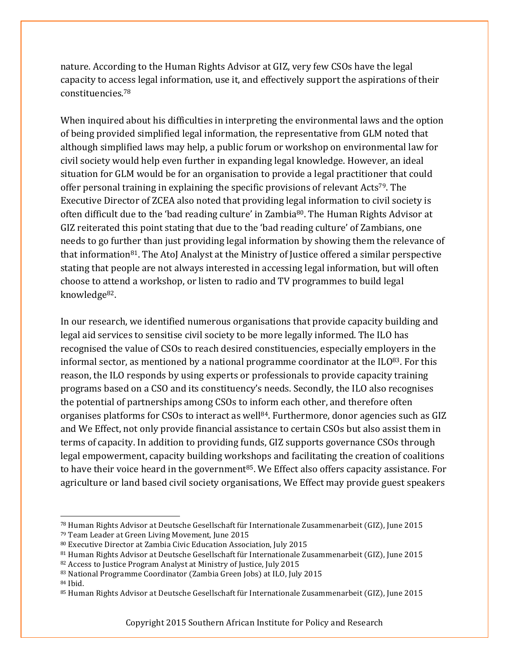nature. According to the Human Rights Advisor at GIZ, very few CSOs have the legal capacity to access legal information, use it, and effectively support the aspirations of their constituencies.78

When inquired about his difficulties in interpreting the environmental laws and the option of being provided simplified legal information, the representative from GLM noted that although simplified laws may help, a public forum or workshop on environmental law for civil society would help even further in expanding legal knowledge. However, an ideal situation for GLM would be for an organisation to provide a legal practitioner that could offer personal training in explaining the specific provisions of relevant Acts79. The Executive Director of ZCEA also noted that providing legal information to civil society is often difficult due to the 'bad reading culture' in Zambia<sup>80</sup>. The Human Rights Advisor at GIZ reiterated this point stating that due to the 'bad reading culture' of Zambians, one needs to go further than just providing legal information by showing them the relevance of that information81. The AtoJ Analyst at the Ministry of Justice offered a similar perspective stating that people are not always interested in accessing legal information, but will often choose to attend a workshop, or listen to radio and TV programmes to build legal knowledge82.

In our research, we identified numerous organisations that provide capacity building and legal aid services to sensitise civil society to be more legally informed. The ILO has recognised the value of CSOs to reach desired constituencies, especially employers in the informal sector, as mentioned by a national programme coordinator at the  $1LO^{83}$ . For this reason, the ILO responds by using experts or professionals to provide capacity training programs based on a CSO and its constituency's needs. Secondly, the ILO also recognises the potential of partnerships among CSOs to inform each other, and therefore often organises platforms for CSOs to interact as well<sup>84</sup>. Furthermore, donor agencies such as GIZ and We Effect, not only provide financial assistance to certain CSOs but also assist them in terms of capacity. In addition to providing funds, GIZ supports governance CSOs through legal empowerment, capacity building workshops and facilitating the creation of coalitions to have their voice heard in the government<sup>85</sup>. We Effect also offers capacity assistance. For agriculture or land based civil society organisations, We Effect may provide guest speakers

 

<sup>84</sup> Ibid.

<sup>78</sup> Human Rights Advisor at Deutsche Gesellschaft für Internationale Zusammenarbeit (GIZ), June 2015

<sup>79</sup> Team Leader at Green Living Movement, June 2015

<sup>80</sup> Executive Director at Zambia Civic Education Association, July 2015

<sup>81</sup> Human Rights Advisor at Deutsche Gesellschaft für Internationale Zusammenarbeit (GIZ), June 2015

<sup>82</sup> Access to Justice Program Analyst at Ministry of Justice, July 2015

<sup>83</sup> National Programme Coordinator (Zambia Green Jobs) at ILO, July 2015

<sup>85</sup> Human Rights Advisor at Deutsche Gesellschaft für Internationale Zusammenarbeit (GIZ), June 2015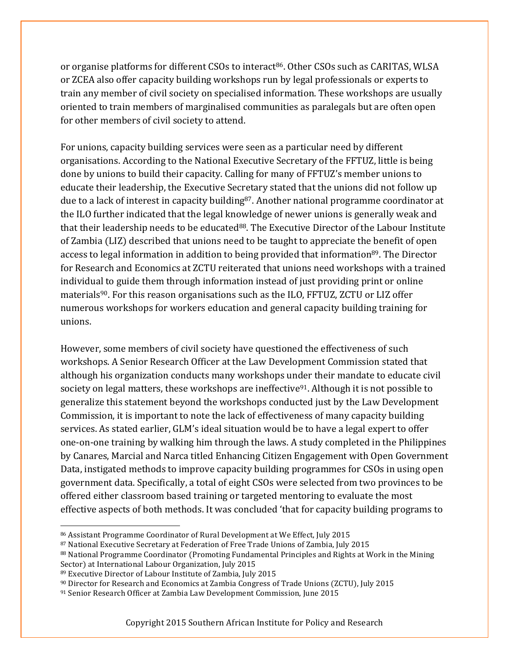or organise platforms for different CSOs to interact<sup>86</sup>. Other CSOs such as CARITAS, WLSA or ZCEA also offer capacity building workshops run by legal professionals or experts to train any member of civil society on specialised information. These workshops are usually oriented to train members of marginalised communities as paralegals but are often open for other members of civil society to attend.

For unions, capacity building services were seen as a particular need by different organisations. According to the National Executive Secretary of the FFTUZ, little is being done by unions to build their capacity. Calling for many of FFTUZ's member unions to educate their leadership, the Executive Secretary stated that the unions did not follow up due to a lack of interest in capacity building<sup>87</sup>. Another national programme coordinator at the ILO further indicated that the legal knowledge of newer unions is generally weak and that their leadership needs to be educated<sup>88</sup>. The Executive Director of the Labour Institute of Zambia (LIZ) described that unions need to be taught to appreciate the benefit of open access to legal information in addition to being provided that information<sup>89</sup>. The Director for Research and Economics at ZCTU reiterated that unions need workshops with a trained individual to guide them through information instead of just providing print or online materials90. For this reason organisations such as the ILO, FFTUZ, ZCTU or LIZ offer numerous workshops for workers education and general capacity building training for unions.

However, some members of civil society have questioned the effectiveness of such workshops. A Senior Research Officer at the Law Development Commission stated that although his organization conducts many workshops under their mandate to educate civil society on legal matters, these workshops are ineffective<sup>91</sup>. Although it is not possible to generalize this statement beyond the workshops conducted just by the Law Development Commission, it is important to note the lack of effectiveness of many capacity building services. As stated earlier, GLM's ideal situation would be to have a legal expert to offer one-on-one training by walking him through the laws. A study completed in the Philippines by Canares, Marcial and Narca titled Enhancing Citizen Engagement with Open Government Data, instigated methods to improve capacity building programmes for CSOs in using open government data. Specifically, a total of eight CSOs were selected from two provinces to be offered either classroom based training or targeted mentoring to evaluate the most effective aspects of both methods. It was concluded 'that for capacity building programs to

<u> Andreas Andreas Andreas Andreas Andreas Andreas Andreas Andreas Andreas Andreas Andreas Andreas Andreas Andreas</u>

<sup>86</sup> Assistant Programme Coordinator of Rural Development at We Effect, July 2015

<sup>87</sup> National Executive Secretary at Federation of Free Trade Unions of Zambia, July 2015

<sup>88</sup> National Programme Coordinator (Promoting Fundamental Principles and Rights at Work in the Mining Sector) at International Labour Organization, July 2015

<sup>89</sup> Executive Director of Labour Institute of Zambia, July 2015

<sup>90</sup> Director for Research and Economics at Zambia Congress of Trade Unions (ZCTU), July 2015

<sup>91</sup> Senior Research Officer at Zambia Law Development Commission, June 2015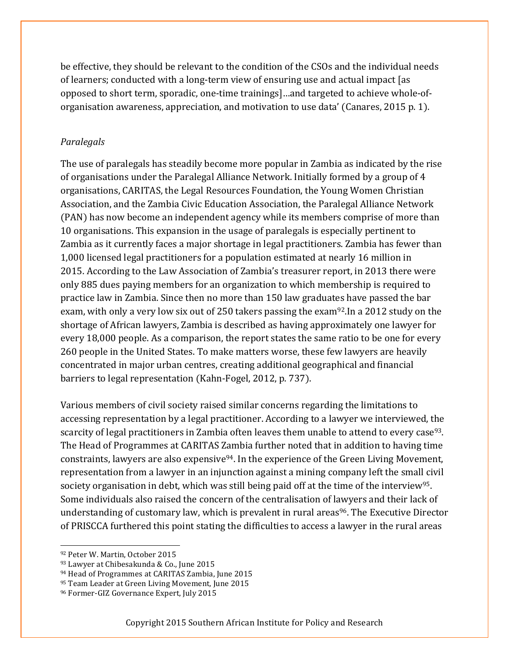be effective, they should be relevant to the condition of the CSOs and the individual needs of learners; conducted with a long-term view of ensuring use and actual impact [as opposed to short term, sporadic, one-time trainings]…and targeted to achieve whole-oforganisation awareness, appreciation, and motivation to use data' (Canares, 2015 p. 1).

#### *Paralegals*

The use of paralegals has steadily become more popular in Zambia as indicated by the rise of organisations under the Paralegal Alliance Network. Initially formed by a group of 4 organisations, CARITAS, the Legal Resources Foundation, the Young Women Christian Association, and the Zambia Civic Education Association, the Paralegal Alliance Network (PAN) has now become an independent agency while its members comprise of more than 10 organisations. This expansion in the usage of paralegals is especially pertinent to Zambia as it currently faces a major shortage in legal practitioners. Zambia has fewer than 1,000 licensed legal practitioners for a population estimated at nearly 16 million in 2015. According to the Law Association of Zambia's treasurer report, in 2013 there were only 885 dues paying members for an organization to which membership is required to practice law in Zambia. Since then no more than 150 law graduates have passed the bar exam, with only a very low six out of 250 takers passing the exam92.In a 2012 study on the shortage of African lawyers, Zambia is described as having approximately one lawyer for every 18,000 people. As a comparison, the report states the same ratio to be one for every 260 people in the United States. To make matters worse, these few lawyers are heavily concentrated in major urban centres, creating additional geographical and financial barriers to legal representation (Kahn-Fogel, 2012, p. 737).

Various members of civil society raised similar concerns regarding the limitations to accessing representation by a legal practitioner. According to a lawyer we interviewed, the scarcity of legal practitioners in Zambia often leaves them unable to attend to every case<sup>93</sup>. The Head of Programmes at CARITAS Zambia further noted that in addition to having time constraints, lawyers are also expensive94. In the experience of the Green Living Movement, representation from a lawyer in an injunction against a mining company left the small civil society organisation in debt, which was still being paid off at the time of the interview<sup>95</sup>. Some individuals also raised the concern of the centralisation of lawyers and their lack of understanding of customary law, which is prevalent in rural areas<sup>96</sup>. The Executive Director of PRISCCA furthered this point stating the difficulties to access a lawyer in the rural areas

 <sup>92</sup> Peter W. Martin, October 2015

<sup>93</sup> Lawyer at Chibesakunda & Co., June 2015

<sup>94</sup> Head of Programmes at CARITAS Zambia, June 2015

<sup>95</sup> Team Leader at Green Living Movement, June 2015

<sup>96</sup> Former-GIZ Governance Expert, July 2015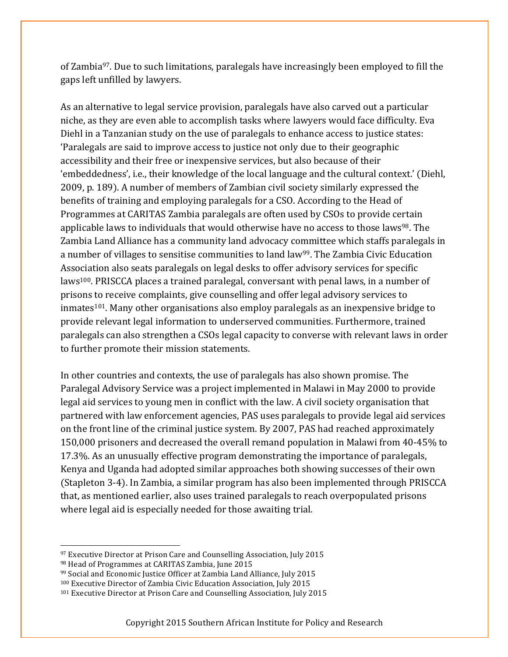of Zambia<sup>97</sup>. Due to such limitations, paralegals have increasingly been employed to fill the gaps left unfilled by lawyers.

As an alternative to legal service provision, paralegals have also carved out a particular niche, as they are even able to accomplish tasks where lawyers would face difficulty. Eva Diehl in a Tanzanian study on the use of paralegals to enhance access to justice states: 'Paralegals are said to improve access to justice not only due to their geographic accessibility and their free or inexpensive services, but also because of their 'embeddedness', i.e., their knowledge of the local language and the cultural context.' (Diehl, 2009, p. 189). A number of members of Zambian civil society similarly expressed the benefits of training and employing paralegals for a CSO. According to the Head of Programmes at CARITAS Zambia paralegals are often used by CSOs to provide certain applicable laws to individuals that would otherwise have no access to those laws<sup>98</sup>. The Zambia Land Alliance has a community land advocacy committee which staffs paralegals in a number of villages to sensitise communities to land law<sup>99</sup>. The Zambia Civic Education Association also seats paralegals on legal desks to offer advisory services for specific laws100. PRISCCA places a trained paralegal, conversant with penal laws, in a number of prisons to receive complaints, give counselling and offer legal advisory services to inmates<sup>101</sup>. Many other organisations also employ paralegals as an inexpensive bridge to provide relevant legal information to underserved communities. Furthermore, trained paralegals can also strengthen a CSOs legal capacity to converse with relevant laws in order to further promote their mission statements.

In other countries and contexts, the use of paralegals has also shown promise. The Paralegal Advisory Service was a project implemented in Malawi in May 2000 to provide legal aid services to young men in conflict with the law. A civil society organisation that partnered with law enforcement agencies, PAS uses paralegals to provide legal aid services on the front line of the criminal justice system. By 2007, PAS had reached approximately 150,000 prisoners and decreased the overall remand population in Malawi from 40-45% to 17.3%. As an unusually effective program demonstrating the importance of paralegals, Kenya and Uganda had adopted similar approaches both showing successes of their own (Stapleton 3-4). In Zambia, a similar program has also been implemented through PRISCCA that, as mentioned earlier, also uses trained paralegals to reach overpopulated prisons where legal aid is especially needed for those awaiting trial.

- <sup>97</sup> Executive Director at Prison Care and Counselling Association, July 2015 <sup>98</sup> Head of Programmes at CARITAS Zambia, June 2015
- <sup>99</sup> Social and Economic Justice Officer at Zambia Land Alliance, July 2015

 

<sup>100</sup> Executive Director of Zambia Civic Education Association, July 2015

<sup>101</sup> Executive Director at Prison Care and Counselling Association, July 2015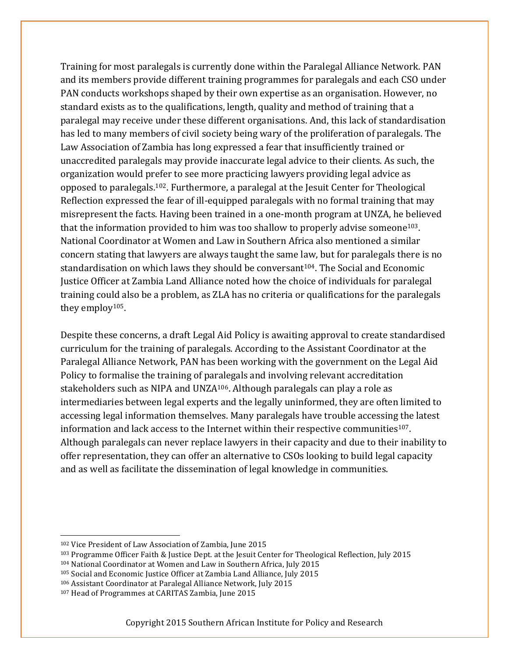Training for most paralegals is currently done within the Paralegal Alliance Network. PAN and its members provide different training programmes for paralegals and each CSO under PAN conducts workshops shaped by their own expertise as an organisation. However, no standard exists as to the qualifications, length, quality and method of training that a paralegal may receive under these different organisations. And, this lack of standardisation has led to many members of civil society being wary of the proliferation of paralegals. The Law Association of Zambia has long expressed a fear that insufficiently trained or unaccredited paralegals may provide inaccurate legal advice to their clients. As such, the organization would prefer to see more practicing lawyers providing legal advice as opposed to paralegals.102. Furthermore, a paralegal at the Jesuit Center for Theological Reflection expressed the fear of ill-equipped paralegals with no formal training that may misrepresent the facts. Having been trained in a one-month program at UNZA, he believed that the information provided to him was too shallow to properly advise someone<sup>103</sup>. National Coordinator at Women and Law in Southern Africa also mentioned a similar concern stating that lawyers are always taught the same law, but for paralegals there is no standardisation on which laws they should be conversant<sup>104</sup>. The Social and Economic Justice Officer at Zambia Land Alliance noted how the choice of individuals for paralegal training could also be a problem, as ZLA has no criteria or qualifications for the paralegals they employ105.

Despite these concerns, a draft Legal Aid Policy is awaiting approval to create standardised curriculum for the training of paralegals. According to the Assistant Coordinator at the Paralegal Alliance Network, PAN has been working with the government on the Legal Aid Policy to formalise the training of paralegals and involving relevant accreditation stakeholders such as NIPA and UNZA106. Although paralegals can play a role as intermediaries between legal experts and the legally uninformed, they are often limited to accessing legal information themselves. Many paralegals have trouble accessing the latest information and lack access to the Internet within their respective communities<sup>107</sup>. Although paralegals can never replace lawyers in their capacity and due to their inability to offer representation, they can offer an alternative to CSOs looking to build legal capacity and as well as facilitate the dissemination of legal knowledge in communities.

<sup>102</sup> Vice President of Law Association of Zambia, June 2015

<sup>103</sup> Programme Officer Faith & Justice Dept. at the Jesuit Center for Theological Reflection, July 2015

<sup>104</sup> National Coordinator at Women and Law in Southern Africa, July 2015

<sup>105</sup> Social and Economic Justice Officer at Zambia Land Alliance, July 2015

<sup>106</sup> Assistant Coordinator at Paralegal Alliance Network, July 2015

<sup>107</sup> Head of Programmes at CARITAS Zambia, June 2015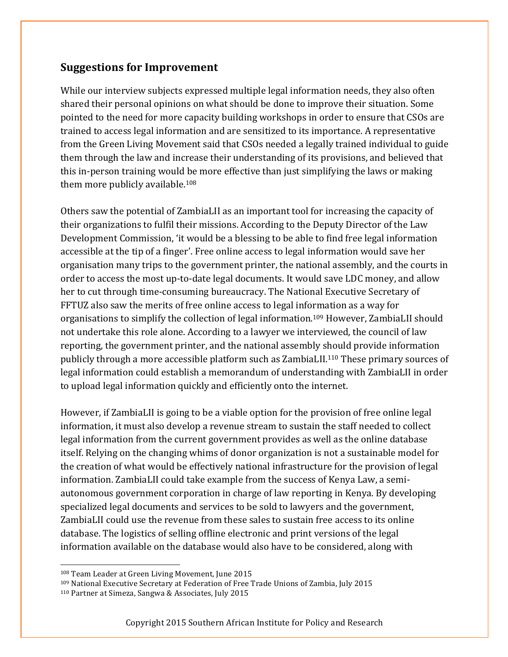#### **Suggestions for Improvement**

While our interview subjects expressed multiple legal information needs, they also often shared their personal opinions on what should be done to improve their situation. Some pointed to the need for more capacity building workshops in order to ensure that CSOs are trained to access legal information and are sensitized to its importance. A representative from the Green Living Movement said that CSOs needed a legally trained individual to guide them through the law and increase their understanding of its provisions, and believed that this in-person training would be more effective than just simplifying the laws or making them more publicly available.108

Others saw the potential of ZambiaLII as an important tool for increasing the capacity of their organizations to fulfil their missions. According to the Deputy Director of the Law Development Commission, 'it would be a blessing to be able to find free legal information accessible at the tip of a finger'. Free online access to legal information would save her organisation many trips to the government printer, the national assembly, and the courts in order to access the most up-to-date legal documents. It would save LDC money, and allow her to cut through time-consuming bureaucracy. The National Executive Secretary of FFTUZ also saw the merits of free online access to legal information as a way for organisations to simplify the collection of legal information.109 However, ZambiaLII should not undertake this role alone. According to a lawyer we interviewed, the council of law reporting, the government printer, and the national assembly should provide information publicly through a more accessible platform such as ZambiaLII.110 These primary sources of legal information could establish a memorandum of understanding with ZambiaLII in order to upload legal information quickly and efficiently onto the internet.

However, if ZambiaLII is going to be a viable option for the provision of free online legal information, it must also develop a revenue stream to sustain the staff needed to collect legal information from the current government provides as well as the online database itself. Relying on the changing whims of donor organization is not a sustainable model for the creation of what would be effectively national infrastructure for the provision of legal information. ZambiaLII could take example from the success of Kenya Law, a semiautonomous government corporation in charge of law reporting in Kenya. By developing specialized legal documents and services to be sold to lawyers and the government, ZambiaLII could use the revenue from these sales to sustain free access to its online database. The logistics of selling offline electronic and print versions of the legal information available on the database would also have to be considered, along with

<sup>108</sup> Team Leader at Green Living Movement, June 2015

<sup>109</sup> National Executive Secretary at Federation of Free Trade Unions of Zambia, July 2015

<sup>110</sup> Partner at Simeza, Sangwa & Associates, July 2015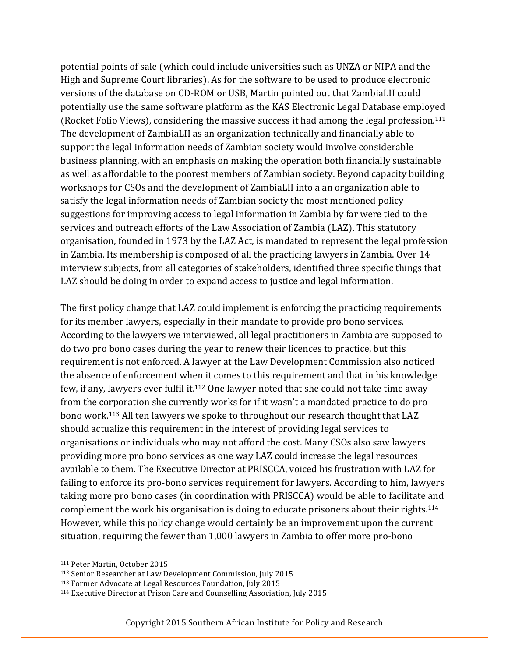potential points of sale (which could include universities such as UNZA or NIPA and the High and Supreme Court libraries). As for the software to be used to produce electronic versions of the database on CD-ROM or USB, Martin pointed out that ZambiaLII could potentially use the same software platform as the KAS Electronic Legal Database employed (Rocket Folio Views), considering the massive success it had among the legal profession.111 The development of ZambiaLII as an organization technically and financially able to support the legal information needs of Zambian society would involve considerable business planning, with an emphasis on making the operation both financially sustainable as well as affordable to the poorest members of Zambian society. Beyond capacity building workshops for CSOs and the development of ZambiaLII into a an organization able to satisfy the legal information needs of Zambian society the most mentioned policy suggestions for improving access to legal information in Zambia by far were tied to the services and outreach efforts of the Law Association of Zambia (LAZ). This statutory organisation, founded in 1973 by the LAZ Act, is mandated to represent the legal profession in Zambia. Its membership is composed of all the practicing lawyers in Zambia. Over 14 interview subjects, from all categories of stakeholders, identified three specific things that LAZ should be doing in order to expand access to justice and legal information.

The first policy change that LAZ could implement is enforcing the practicing requirements for its member lawyers, especially in their mandate to provide pro bono services. According to the lawyers we interviewed, all legal practitioners in Zambia are supposed to do two pro bono cases during the year to renew their licences to practice, but this requirement is not enforced. A lawyer at the Law Development Commission also noticed the absence of enforcement when it comes to this requirement and that in his knowledge few, if any, lawyers ever fulfil it.112 One lawyer noted that she could not take time away from the corporation she currently works for if it wasn't a mandated practice to do pro bono work.113 All ten lawyers we spoke to throughout our research thought that LAZ should actualize this requirement in the interest of providing legal services to organisations or individuals who may not afford the cost. Many CSOs also saw lawyers providing more pro bono services as one way LAZ could increase the legal resources available to them. The Executive Director at PRISCCA, voiced his frustration with LAZ for failing to enforce its pro-bono services requirement for lawyers. According to him, lawyers taking more pro bono cases (in coordination with PRISCCA) would be able to facilitate and complement the work his organisation is doing to educate prisoners about their rights.114 However, while this policy change would certainly be an improvement upon the current situation, requiring the fewer than 1,000 lawyers in Zambia to offer more pro-bono

 <sup>111</sup> Peter Martin, October 2015

<sup>112</sup> Senior Researcher at Law Development Commission, July 2015

<sup>113</sup> Former Advocate at Legal Resources Foundation, July 2015

<sup>114</sup> Executive Director at Prison Care and Counselling Association, July 2015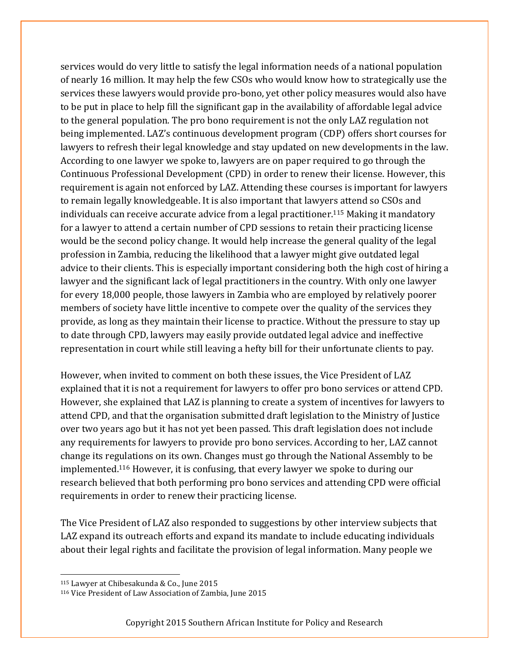services would do very little to satisfy the legal information needs of a national population of nearly 16 million. It may help the few CSOs who would know how to strategically use the services these lawyers would provide pro-bono, yet other policy measures would also have to be put in place to help fill the significant gap in the availability of affordable legal advice to the general population. The pro bono requirement is not the only LAZ regulation not being implemented. LAZ's continuous development program (CDP) offers short courses for lawyers to refresh their legal knowledge and stay updated on new developments in the law. According to one lawyer we spoke to, lawyers are on paper required to go through the Continuous Professional Development (CPD) in order to renew their license. However, this requirement is again not enforced by LAZ. Attending these courses is important for lawyers to remain legally knowledgeable. It is also important that lawyers attend so CSOs and individuals can receive accurate advice from a legal practitioner.115 Making it mandatory for a lawyer to attend a certain number of CPD sessions to retain their practicing license would be the second policy change. It would help increase the general quality of the legal profession in Zambia, reducing the likelihood that a lawyer might give outdated legal advice to their clients. This is especially important considering both the high cost of hiring a lawyer and the significant lack of legal practitioners in the country. With only one lawyer for every 18,000 people, those lawyers in Zambia who are employed by relatively poorer members of society have little incentive to compete over the quality of the services they provide, as long as they maintain their license to practice. Without the pressure to stay up to date through CPD, lawyers may easily provide outdated legal advice and ineffective representation in court while still leaving a hefty bill for their unfortunate clients to pay.

However, when invited to comment on both these issues, the Vice President of LAZ explained that it is not a requirement for lawyers to offer pro bono services or attend CPD. However, she explained that LAZ is planning to create a system of incentives for lawyers to attend CPD, and that the organisation submitted draft legislation to the Ministry of Justice over two years ago but it has not yet been passed. This draft legislation does not include any requirements for lawyers to provide pro bono services. According to her, LAZ cannot change its regulations on its own. Changes must go through the National Assembly to be implemented.116 However, it is confusing, that every lawyer we spoke to during our research believed that both performing pro bono services and attending CPD were official requirements in order to renew their practicing license.

The Vice President of LAZ also responded to suggestions by other interview subjects that LAZ expand its outreach efforts and expand its mandate to include educating individuals about their legal rights and facilitate the provision of legal information. Many people we

<sup>115</sup> Lawyer at Chibesakunda & Co., June 2015

<sup>116</sup> Vice President of Law Association of Zambia, June 2015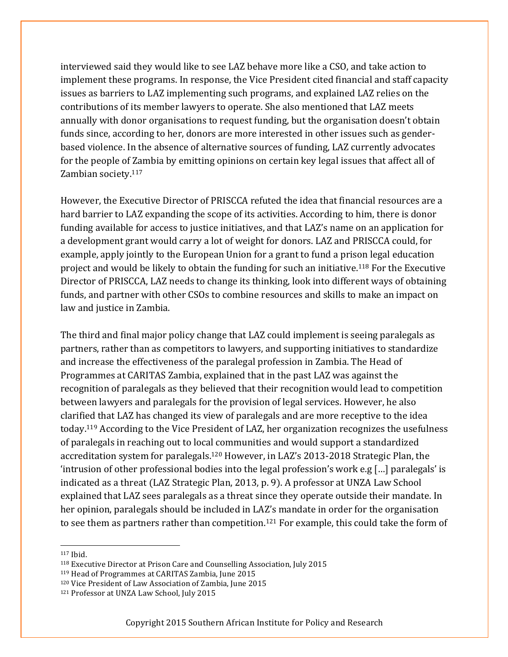interviewed said they would like to see LAZ behave more like a CSO, and take action to implement these programs. In response, the Vice President cited financial and staff capacity issues as barriers to LAZ implementing such programs, and explained LAZ relies on the contributions of its member lawyers to operate. She also mentioned that LAZ meets annually with donor organisations to request funding, but the organisation doesn't obtain funds since, according to her, donors are more interested in other issues such as genderbased violence. In the absence of alternative sources of funding, LAZ currently advocates for the people of Zambia by emitting opinions on certain key legal issues that affect all of Zambian society.117

However, the Executive Director of PRISCCA refuted the idea that financial resources are a hard barrier to LAZ expanding the scope of its activities. According to him, there is donor funding available for access to justice initiatives, and that LAZ's name on an application for a development grant would carry a lot of weight for donors. LAZ and PRISCCA could, for example, apply jointly to the European Union for a grant to fund a prison legal education project and would be likely to obtain the funding for such an initiative.118 For the Executive Director of PRISCCA, LAZ needs to change its thinking, look into different ways of obtaining funds, and partner with other CSOs to combine resources and skills to make an impact on law and justice in Zambia.

The third and final major policy change that LAZ could implement is seeing paralegals as partners, rather than as competitors to lawyers, and supporting initiatives to standardize and increase the effectiveness of the paralegal profession in Zambia. The Head of Programmes at CARITAS Zambia, explained that in the past LAZ was against the recognition of paralegals as they believed that their recognition would lead to competition between lawyers and paralegals for the provision of legal services. However, he also clarified that LAZ has changed its view of paralegals and are more receptive to the idea today.119 According to the Vice President of LAZ, her organization recognizes the usefulness of paralegals in reaching out to local communities and would support a standardized accreditation system for paralegals.120 However, in LAZ's 2013-2018 Strategic Plan, the 'intrusion of other professional bodies into the legal profession's work e.g […] paralegals' is indicated as a threat (LAZ Strategic Plan, 2013, p. 9). A professor at UNZA Law School explained that LAZ sees paralegals as a threat since they operate outside their mandate. In her opinion, paralegals should be included in LAZ's mandate in order for the organisation to see them as partners rather than competition.121 For example, this could take the form of

<sup>117</sup> Ibid.

<sup>118</sup> Executive Director at Prison Care and Counselling Association, July 2015

<sup>119</sup> Head of Programmes at CARITAS Zambia, June 2015

<sup>120</sup> Vice President of Law Association of Zambia, June 2015

<sup>121</sup> Professor at UNZA Law School, July 2015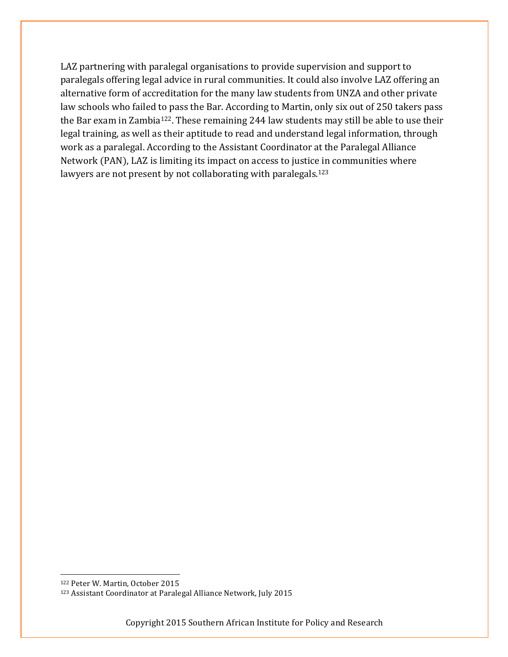LAZ partnering with paralegal organisations to provide supervision and support to paralegals offering legal advice in rural communities. It could also involve LAZ offering an alternative form of accreditation for the many law students from UNZA and other private law schools who failed to pass the Bar. According to Martin, only six out of 250 takers pass the Bar exam in Zambia122. These remaining 244 law students may still be able to use their legal training, as well as their aptitude to read and understand legal information, through work as a paralegal. According to the Assistant Coordinator at the Paralegal Alliance Network (PAN), LAZ is limiting its impact on access to justice in communities where lawyers are not present by not collaborating with paralegals.<sup>123</sup>

 <sup>122</sup> Peter W. Martin, October 2015

<sup>123</sup> Assistant Coordinator at Paralegal Alliance Network, July 2015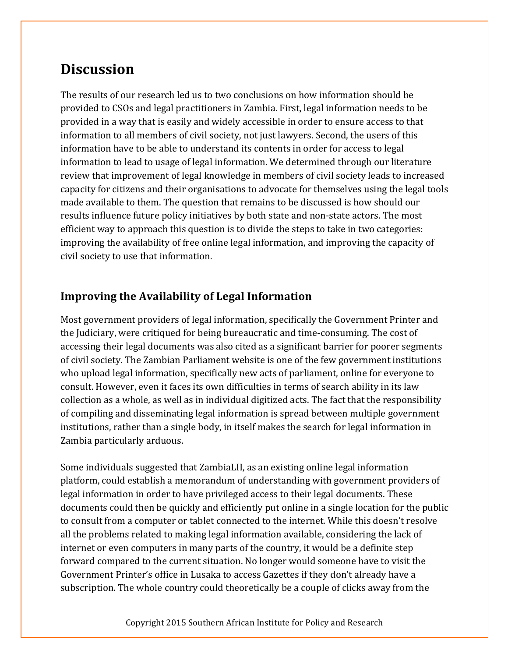# **Discussion**

The results of our research led us to two conclusions on how information should be provided to CSOs and legal practitioners in Zambia. First, legal information needs to be provided in a way that is easily and widely accessible in order to ensure access to that information to all members of civil society, not just lawyers. Second, the users of this information have to be able to understand its contents in order for access to legal information to lead to usage of legal information. We determined through our literature review that improvement of legal knowledge in members of civil society leads to increased capacity for citizens and their organisations to advocate for themselves using the legal tools made available to them. The question that remains to be discussed is how should our results influence future policy initiatives by both state and non-state actors. The most efficient way to approach this question is to divide the steps to take in two categories: improving the availability of free online legal information, and improving the capacity of civil society to use that information.

#### **Improving the Availability of Legal Information**

Most government providers of legal information, specifically the Government Printer and the Judiciary, were critiqued for being bureaucratic and time-consuming. The cost of accessing their legal documents was also cited as a significant barrier for poorer segments of civil society. The Zambian Parliament website is one of the few government institutions who upload legal information, specifically new acts of parliament, online for everyone to consult. However, even it faces its own difficulties in terms of search ability in its law collection as a whole, as well as in individual digitized acts. The fact that the responsibility of compiling and disseminating legal information is spread between multiple government institutions, rather than a single body, in itself makes the search for legal information in Zambia particularly arduous.

Some individuals suggested that ZambiaLII, as an existing online legal information platform, could establish a memorandum of understanding with government providers of legal information in order to have privileged access to their legal documents. These documents could then be quickly and efficiently put online in a single location for the public to consult from a computer or tablet connected to the internet. While this doesn't resolve all the problems related to making legal information available, considering the lack of internet or even computers in many parts of the country, it would be a definite step forward compared to the current situation. No longer would someone have to visit the Government Printer's office in Lusaka to access Gazettes if they don't already have a subscription. The whole country could theoretically be a couple of clicks away from the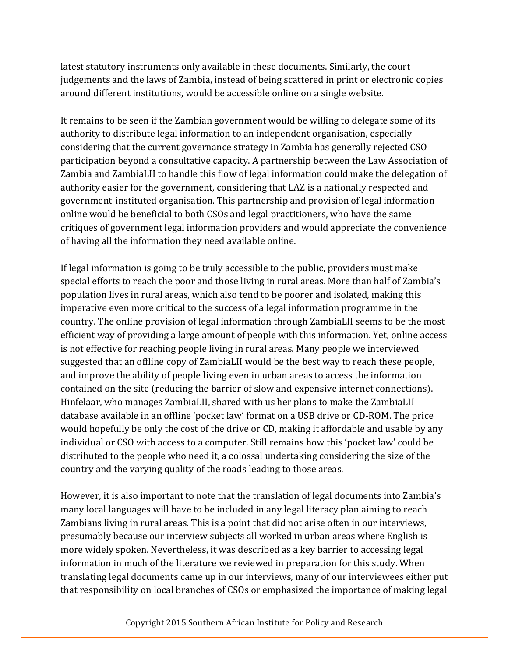latest statutory instruments only available in these documents. Similarly, the court judgements and the laws of Zambia, instead of being scattered in print or electronic copies around different institutions, would be accessible online on a single website.

It remains to be seen if the Zambian government would be willing to delegate some of its authority to distribute legal information to an independent organisation, especially considering that the current governance strategy in Zambia has generally rejected CSO participation beyond a consultative capacity. A partnership between the Law Association of Zambia and ZambiaLII to handle this flow of legal information could make the delegation of authority easier for the government, considering that LAZ is a nationally respected and government-instituted organisation. This partnership and provision of legal information online would be beneficial to both CSOs and legal practitioners, who have the same critiques of government legal information providers and would appreciate the convenience of having all the information they need available online.

If legal information is going to be truly accessible to the public, providers must make special efforts to reach the poor and those living in rural areas. More than half of Zambia's population lives in rural areas, which also tend to be poorer and isolated, making this imperative even more critical to the success of a legal information programme in the country. The online provision of legal information through ZambiaLII seems to be the most efficient way of providing a large amount of people with this information. Yet, online access is not effective for reaching people living in rural areas. Many people we interviewed suggested that an offline copy of ZambiaLII would be the best way to reach these people, and improve the ability of people living even in urban areas to access the information contained on the site (reducing the barrier of slow and expensive internet connections). Hinfelaar, who manages ZambiaLII, shared with us her plans to make the ZambiaLII database available in an offline 'pocket law' format on a USB drive or CD-ROM. The price would hopefully be only the cost of the drive or CD, making it affordable and usable by any individual or CSO with access to a computer. Still remains how this 'pocket law' could be distributed to the people who need it, a colossal undertaking considering the size of the country and the varying quality of the roads leading to those areas.

However, it is also important to note that the translation of legal documents into Zambia's many local languages will have to be included in any legal literacy plan aiming to reach Zambians living in rural areas. This is a point that did not arise often in our interviews, presumably because our interview subjects all worked in urban areas where English is more widely spoken. Nevertheless, it was described as a key barrier to accessing legal information in much of the literature we reviewed in preparation for this study. When translating legal documents came up in our interviews, many of our interviewees either put that responsibility on local branches of CSOs or emphasized the importance of making legal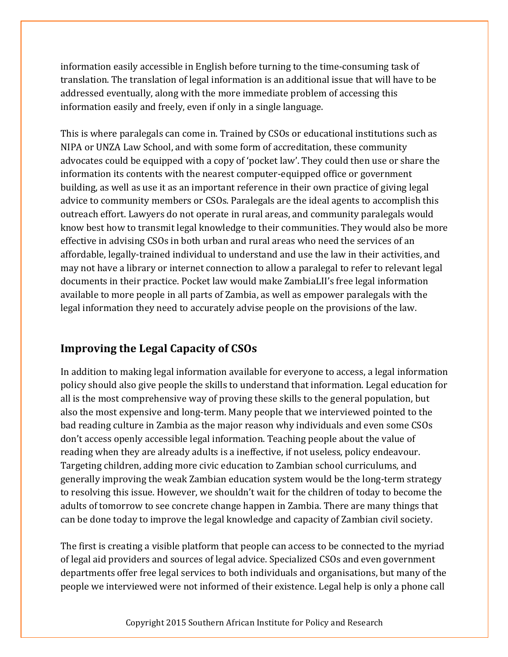information easily accessible in English before turning to the time-consuming task of translation. The translation of legal information is an additional issue that will have to be addressed eventually, along with the more immediate problem of accessing this information easily and freely, even if only in a single language.

This is where paralegals can come in. Trained by CSOs or educational institutions such as NIPA or UNZA Law School, and with some form of accreditation, these community advocates could be equipped with a copy of 'pocket law'. They could then use or share the information its contents with the nearest computer-equipped office or government building, as well as use it as an important reference in their own practice of giving legal advice to community members or CSOs. Paralegals are the ideal agents to accomplish this outreach effort. Lawyers do not operate in rural areas, and community paralegals would know best how to transmit legal knowledge to their communities. They would also be more effective in advising CSOs in both urban and rural areas who need the services of an affordable, legally-trained individual to understand and use the law in their activities, and may not have a library or internet connection to allow a paralegal to refer to relevant legal documents in their practice. Pocket law would make ZambiaLII's free legal information available to more people in all parts of Zambia, as well as empower paralegals with the legal information they need to accurately advise people on the provisions of the law.

#### **Improving the Legal Capacity of CSOs**

In addition to making legal information available for everyone to access, a legal information policy should also give people the skills to understand that information. Legal education for all is the most comprehensive way of proving these skills to the general population, but also the most expensive and long-term. Many people that we interviewed pointed to the bad reading culture in Zambia as the major reason why individuals and even some CSOs don't access openly accessible legal information. Teaching people about the value of reading when they are already adults is a ineffective, if not useless, policy endeavour. Targeting children, adding more civic education to Zambian school curriculums, and generally improving the weak Zambian education system would be the long-term strategy to resolving this issue. However, we shouldn't wait for the children of today to become the adults of tomorrow to see concrete change happen in Zambia. There are many things that can be done today to improve the legal knowledge and capacity of Zambian civil society.

The first is creating a visible platform that people can access to be connected to the myriad of legal aid providers and sources of legal advice. Specialized CSOs and even government departments offer free legal services to both individuals and organisations, but many of the people we interviewed were not informed of their existence. Legal help is only a phone call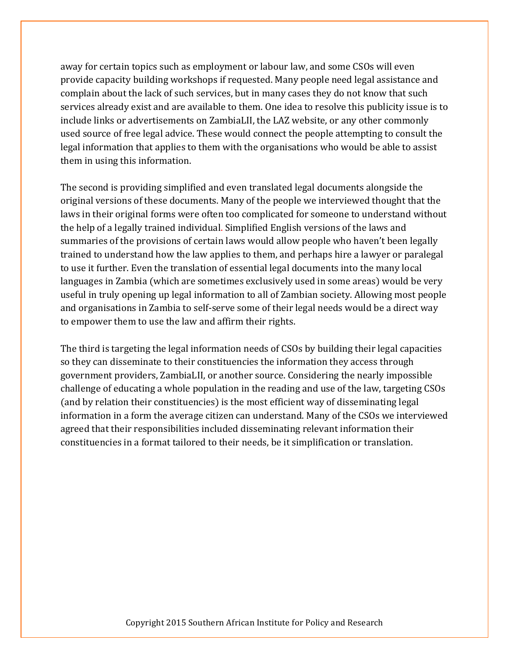away for certain topics such as employment or labour law, and some CSOs will even provide capacity building workshops if requested. Many people need legal assistance and complain about the lack of such services, but in many cases they do not know that such services already exist and are available to them. One idea to resolve this publicity issue is to include links or advertisements on ZambiaLII, the LAZ website, or any other commonly used source of free legal advice. These would connect the people attempting to consult the legal information that applies to them with the organisations who would be able to assist them in using this information.

The second is providing simplified and even translated legal documents alongside the original versions of these documents. Many of the people we interviewed thought that the laws in their original forms were often too complicated for someone to understand without the help of a legally trained individual. Simplified English versions of the laws and summaries of the provisions of certain laws would allow people who haven't been legally trained to understand how the law applies to them, and perhaps hire a lawyer or paralegal to use it further. Even the translation of essential legal documents into the many local languages in Zambia (which are sometimes exclusively used in some areas) would be very useful in truly opening up legal information to all of Zambian society. Allowing most people and organisations in Zambia to self-serve some of their legal needs would be a direct way to empower them to use the law and affirm their rights.

The third is targeting the legal information needs of CSOs by building their legal capacities so they can disseminate to their constituencies the information they access through government providers, ZambiaLII, or another source. Considering the nearly impossible challenge of educating a whole population in the reading and use of the law, targeting CSOs (and by relation their constituencies) is the most efficient way of disseminating legal information in a form the average citizen can understand. Many of the CSOs we interviewed agreed that their responsibilities included disseminating relevant information their constituencies in a format tailored to their needs, be it simplification or translation.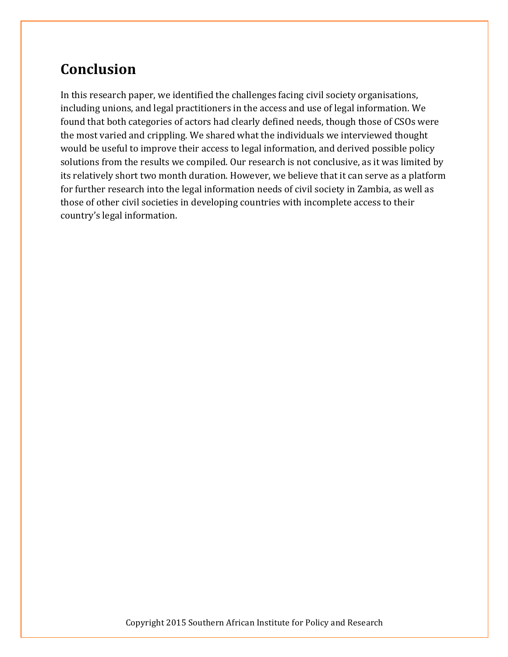# **Conclusion**

In this research paper, we identified the challenges facing civil society organisations, including unions, and legal practitioners in the access and use of legal information. We found that both categories of actors had clearly defined needs, though those of CSOs were the most varied and crippling. We shared what the individuals we interviewed thought would be useful to improve their access to legal information, and derived possible policy solutions from the results we compiled. Our research is not conclusive, as it was limited by its relatively short two month duration. However, we believe that it can serve as a platform for further research into the legal information needs of civil society in Zambia, as well as those of other civil societies in developing countries with incomplete access to their country's legal information.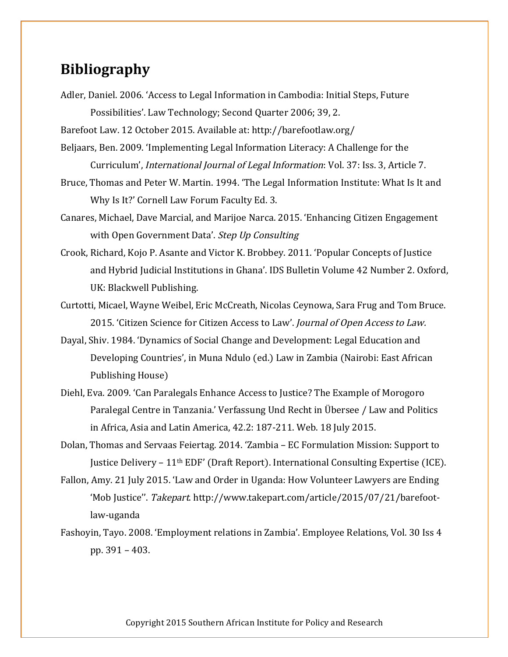### **Bibliography**

Adler, Daniel. 2006. 'Access to Legal Information in Cambodia: Initial Steps, Future Possibilities'. Law Technology; Second Quarter 2006; 39, 2.

Barefoot Law. 12 October 2015. Available at: http://barefootlaw.org/

- Beljaars, Ben. 2009. 'Implementing Legal Information Literacy: A Challenge for the Curriculum', International Journal of Legal Information: Vol. 37: Iss. 3, Article 7.
- Bruce, Thomas and Peter W. Martin. 1994. 'The Legal Information Institute: What Is It and Why Is It?' Cornell Law Forum Faculty Ed. 3.
- Canares, Michael, Dave Marcial, and Marijoe Narca. 2015. 'Enhancing Citizen Engagement with Open Government Data'. Step Up Consulting
- Crook, Richard, Kojo P. Asante and Victor K. Brobbey. 2011. 'Popular Concepts of Justice and Hybrid Judicial Institutions in Ghana'. IDS Bulletin Volume 42 Number 2. Oxford, UK: Blackwell Publishing.
- Curtotti, Micael, Wayne Weibel, Eric McCreath, Nicolas Ceynowa, Sara Frug and Tom Bruce. 2015. 'Citizen Science for Citizen Access to Law'. Journal of Open Access to Law.
- Dayal, Shiv. 1984. 'Dynamics of Social Change and Development: Legal Education and Developing Countries', in Muna Ndulo (ed.) Law in Zambia (Nairobi: East African Publishing House)
- Diehl, Eva. 2009. 'Can Paralegals Enhance Access to Justice? The Example of Morogoro Paralegal Centre in Tanzania.' Verfassung Und Recht in Übersee / Law and Politics in Africa, Asia and Latin America, 42.2: 187-211. Web. 18 July 2015.
- Dolan, Thomas and Servaas Feiertag. 2014. 'Zambia EC Formulation Mission: Support to Justice Delivery  $-11<sup>th</sup>$  EDF' (Draft Report). International Consulting Expertise (ICE).
- Fallon, Amy. 21 July 2015. 'Law and Order in Uganda: How Volunteer Lawyers are Ending 'Mob Justice''. Takepart. http://www.takepart.com/article/2015/07/21/barefootlaw-uganda
- Fashoyin, Tayo. 2008. 'Employment relations in Zambia'. Employee Relations, Vol. 30 Iss 4 pp. 391 – 403.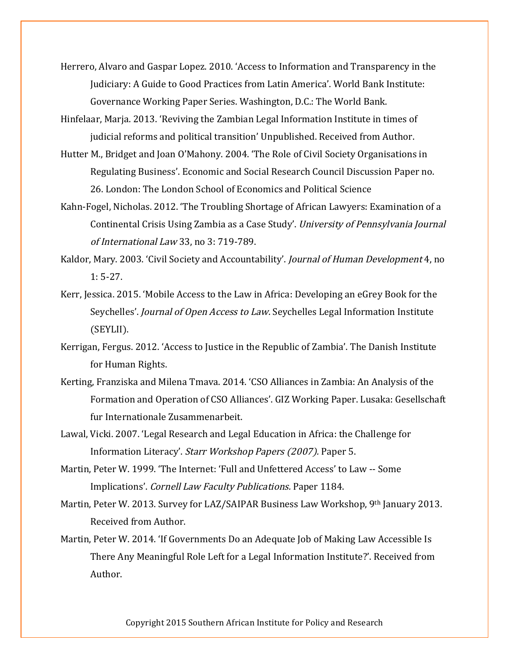Herrero, Alvaro and Gaspar Lopez. 2010. 'Access to Information and Transparency in the Judiciary: A Guide to Good Practices from Latin America'. World Bank Institute: Governance Working Paper Series. Washington, D.C.: The World Bank.

- Hinfelaar, Marja. 2013. 'Reviving the Zambian Legal Information Institute in times of judicial reforms and political transition' Unpublished. Received from Author.
- Hutter M., Bridget and Joan O'Mahony. 2004. 'The Role of Civil Society Organisations in Regulating Business'. Economic and Social Research Council Discussion Paper no. 26. London: The London School of Economics and Political Science
- Kahn-Fogel, Nicholas. 2012. 'The Troubling Shortage of African Lawyers: Examination of a Continental Crisis Using Zambia as a Case Study'. University of Pennsylvania Journal of International Law 33, no 3: 719-789.
- Kaldor, Mary. 2003. 'Civil Society and Accountability'. Journal of Human Development 4, no 1: 5-27.
- Kerr, Jessica. 2015. 'Mobile Access to the Law in Africa: Developing an eGrey Book for the Seychelles'. Journal of Open Access to Law. Seychelles Legal Information Institute (SEYLII).
- Kerrigan, Fergus. 2012. 'Access to Justice in the Republic of Zambia'. The Danish Institute for Human Rights.
- Kerting, Franziska and Milena Tmava. 2014. 'CSO Alliances in Zambia: An Analysis of the Formation and Operation of CSO Alliances'. GIZ Working Paper. Lusaka: Gesellschaft fur Internationale Zusammenarbeit.
- Lawal, Vicki. 2007. 'Legal Research and Legal Education in Africa: the Challenge for Information Literacy'. Starr Workshop Papers (2007). Paper 5.
- Martin, Peter W. 1999. 'The Internet: 'Full and Unfettered Access' to Law -- Some Implications'. Cornell Law Faculty Publications. Paper 1184.
- Martin, Peter W. 2013. Survey for LAZ/SAIPAR Business Law Workshop, 9th January 2013. Received from Author.
- Martin, Peter W. 2014. 'If Governments Do an Adequate Job of Making Law Accessible Is There Any Meaningful Role Left for a Legal Information Institute?'. Received from Author.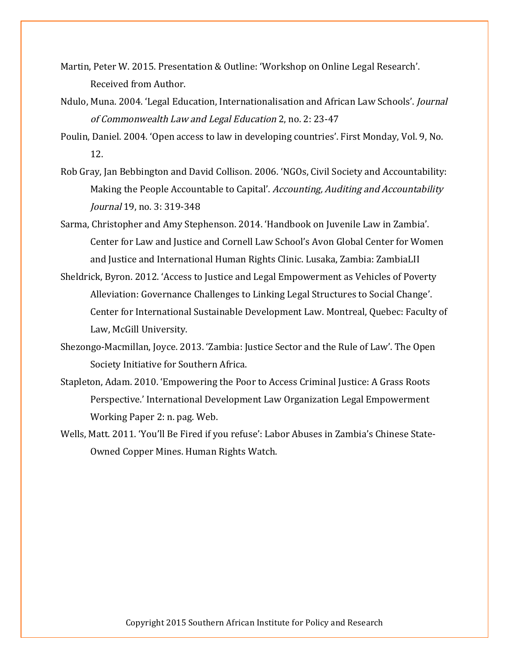- Martin, Peter W. 2015. Presentation & Outline: 'Workshop on Online Legal Research'. Received from Author.
- Ndulo, Muna. 2004. 'Legal Education, Internationalisation and African Law Schools'. Journal of Commonwealth Law and Legal Education 2, no. 2: 23-47
- Poulin, Daniel. 2004. 'Open access to law in developing countries'. First Monday, Vol. 9, No. 12.
- Rob Gray, Jan Bebbington and David Collison. 2006. 'NGOs, Civil Society and Accountability: Making the People Accountable to Capital'. Accounting, Auditing and Accountability Journal 19, no. 3: 319-348
- Sarma, Christopher and Amy Stephenson. 2014. 'Handbook on Juvenile Law in Zambia'. Center for Law and Justice and Cornell Law School's Avon Global Center for Women and Justice and International Human Rights Clinic. Lusaka, Zambia: ZambiaLII
- Sheldrick, Byron. 2012. 'Access to Justice and Legal Empowerment as Vehicles of Poverty Alleviation: Governance Challenges to Linking Legal Structures to Social Change'. Center for International Sustainable Development Law. Montreal, Quebec: Faculty of Law, McGill University.
- Shezongo-Macmillan, Joyce. 2013. 'Zambia: Justice Sector and the Rule of Law'. The Open Society Initiative for Southern Africa.
- Stapleton, Adam. 2010. 'Empowering the Poor to Access Criminal Justice: A Grass Roots Perspective.' International Development Law Organization Legal Empowerment Working Paper 2: n. pag. Web.
- Wells, Matt. 2011. 'You'll Be Fired if you refuse': Labor Abuses in Zambia's Chinese State-Owned Copper Mines. Human Rights Watch.